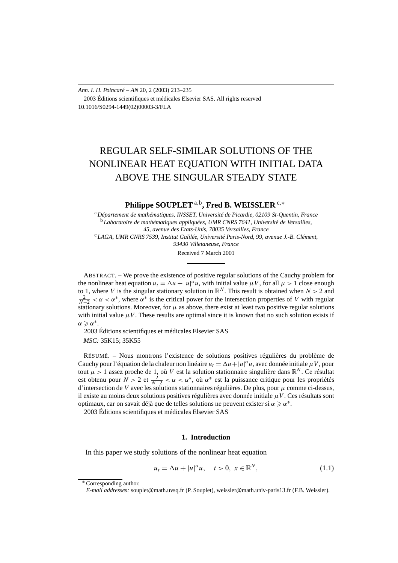*Ann. I. H. Poincaré – AN* 20, 2 (2003) 213–235 2003 Éditions scientifiques et médicales Elsevier SAS. All rights reserved 10.1016/S0294-1449(02)00003-3/FLA

# REGULAR SELF-SIMILAR SOLUTIONS OF THE NONLINEAR HEAT EQUATION WITH INITIAL DATA ABOVE THE SINGULAR STEADY STATE

**Philippe SOUPLET** <sup>a</sup>*,*b**, Fred B. WEISSLER** <sup>c</sup>*,*<sup>∗</sup>

<sup>a</sup> *Département de mathématiques, INSSET, Université de Picardie, 02109 St-Quentin, France* <sup>b</sup> *Laboratoire de mathématiques appliquées, UMR CNRS 7641, Université de Versailles, 45, avenue des Etats-Unis, 78035 Versailles, France* <sup>c</sup> *LAGA, UMR CNRS 7539, Institut Galilée, Université Paris-Nord, 99, avenue J.-B. Clément, 93430 Villetaneuse, France*

Received 7 March 2001

ABSTRACT. – We prove the existence of positive regular solutions of the Cauchy problem for the nonlinear heat equation  $u_t = \Delta u + |u|^\alpha u$ , with initial value  $\mu V$ , for all  $\mu > 1$  close enough to 1, where *V* is the singular stationary solution in  $\mathbb{R}^N$ . This result is obtained when  $N > 2$  and  $\frac{2}{N-2} < \alpha < \alpha^*$ , where  $\alpha^*$  is the critical power for the intersection properties of *V* with regular stationary solutions. Moreover, for  $\mu$  as above, there exist at least two positive regular solutions with initial value  $\mu V$ . These results are optimal since it is known that no such solution exists if  $\alpha \geqslant \alpha^*$ .

2003 Éditions scientifiques et médicales Elsevier SAS

*MSC:* 35K15; 35K55

RÉSUMÉ. – Nous montrons l'existence de solutions positives régulières du problème de Cauchy pour l'équation de la chaleur non linéaire  $u_t = \Delta u + |u|^\alpha u$ , avec donnée initiale  $\mu V$ , pour tout  $\mu > 1$  assez proche de 1, où *V* est la solution stationnaire singulière dans  $\mathbb{R}^N$ . Ce résultat est obtenu pour  $N > 2$  et  $\frac{2}{N-2} < \alpha < \alpha^*$ , où  $\alpha^*$  est la puissance critique pour les propriétés d'intersection de *V* avec les solutions stationnaires régulières. De plus, pour *µ* comme ci-dessus, il existe au moins deux solutions positives régulières avec donnée initiale *µV* . Ces résultats sont optimaux, car on savait déjà que de telles solutions ne peuvent exister si  $\alpha \ge \alpha^*$ . 2003 Éditions scientifiques et médicales Elsevier SAS

## **1. Introduction**

In this paper we study solutions of the nonlinear heat equation

$$
u_t = \Delta u + |u|^\alpha u, \quad t > 0, \ x \in \mathbb{R}^N,
$$
\n(1.1)

<sup>∗</sup> Corresponding author.

*E-mail addresses:* souplet@math.uvsq.fr (P. Souplet), weissler@math.univ-paris13.fr (F.B. Weissler).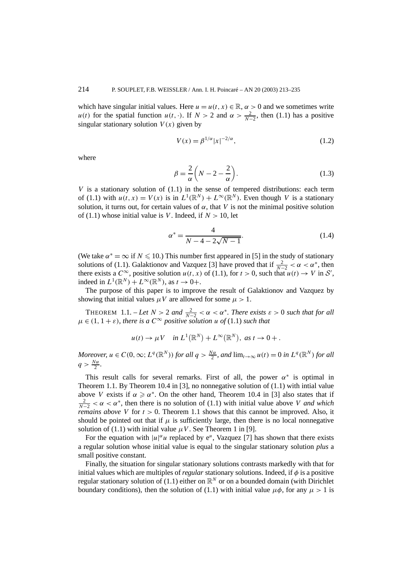which have singular initial values. Here  $u = u(t, x) \in \mathbb{R}$ ,  $\alpha > 0$  and we sometimes write *u(t)* for the spatial function *u(t, ·)*. If  $N > 2$  and  $\alpha > \frac{2}{N-2}$ , then (1.1) has a positive singular stationary solution  $V(x)$  given by

$$
V(x) = \beta^{1/\alpha} |x|^{-2/\alpha},
$$
\n(1.2)

where

$$
\beta = \frac{2}{\alpha} \left( N - 2 - \frac{2}{\alpha} \right). \tag{1.3}
$$

*V* is a stationary solution of  $(1.1)$  in the sense of tempered distributions: each term of (1.1) with  $u(t, x) = V(x)$  is in  $L^1(\mathbb{R}^N) + L^\infty(\mathbb{R}^N)$ . Even though *V* is a stationary solution, it turns out, for certain values of  $\alpha$ , that  $V$  is not the minimal positive solution of (1.1) whose initial value is *V*. Indeed, if  $N > 10$ , let

$$
\alpha^* = \frac{4}{N - 4 - 2\sqrt{N - 1}}.\tag{1.4}
$$

(We take  $\alpha^* = \infty$  if  $N \leq 10$ .) This number first appeared in [5] in the study of stationary solutions of (1.1). Galaktionov and Vazquez [3] have proved that if  $\frac{2}{N-2} < \alpha < \alpha^*$ , then there exists a  $C^{\infty}$ , positive solution  $u(t, x)$  of (1.1), for  $t > 0$ , such that  $u(t) \to V$  in  $S'$ , indeed in  $L^1(\mathbb{R}^N) + L^\infty(\mathbb{R}^N)$ , as  $t \to 0^+$ .

The purpose of this paper is to improve the result of Galaktionov and Vazquez by showing that initial values  $\mu V$  are allowed for some  $\mu > 1$ .

THEOREM 1.1. – Let  $N > 2$  and  $\frac{2}{N-2} < \alpha < \alpha^*$ . There exists  $\varepsilon > 0$  such that for all  $\mu \in (1, 1 + \varepsilon)$ *, there is a*  $C^{\infty}$  *positive solution u of* (1.1) *such that* 

$$
u(t) \to \mu V \quad \text{in } L^1(\mathbb{R}^N) + L^\infty(\mathbb{R}^N), \text{ as } t \to 0+.
$$

Moreover,  $u \in C(0,\infty; L^q(\mathbb{R}^N))$  for all  $q > \frac{N\alpha}{2}$ , and  $\lim_{t\to\infty} u(t) = 0$  in  $L^q(\mathbb{R}^N)$  for all  $q > \frac{N\alpha}{2}$ .

This result calls for several remarks. First of all, the power  $\alpha^*$  is optimal in Theorem 1.1. By Theorem 10.4 in [3], no nonnegative solution of  $(1.1)$  with intial value above *V* exists if  $\alpha \ge \alpha^*$ . On the other hand, Theorem 10.4 in [3] also states that if  $\frac{2}{N-2} < \alpha < \alpha^*$ , then there is no solution of (1.1) with initial value above *V* and which *remains above V* for  $t > 0$ . Theorem 1.1 shows that this cannot be improved. Also, it should be pointed out that if  $\mu$  is sufficiently large, then there is no local nonnegative solution of (1.1) with initial value  $\mu V$ . See Theorem 1 in [9].

For the equation with  $|u|^{\alpha}u$  replaced by e<sup>u</sup>, Vazquez [7] has shown that there exists a regular solution whose initial value is equal to the singular stationary solution *plus* a small positive constant.

Finally, the situation for singular stationary solutions contrasts markedly with that for initial values which are multiples of *regular* stationary solutions. Indeed, if *φ* is a positive regular stationary solution of (1.1) either on  $\mathbb{R}^N$  or on a bounded domain (with Dirichlet boundary conditions), then the solution of (1.1) with initial value  $\mu \phi$ , for any  $\mu > 1$  is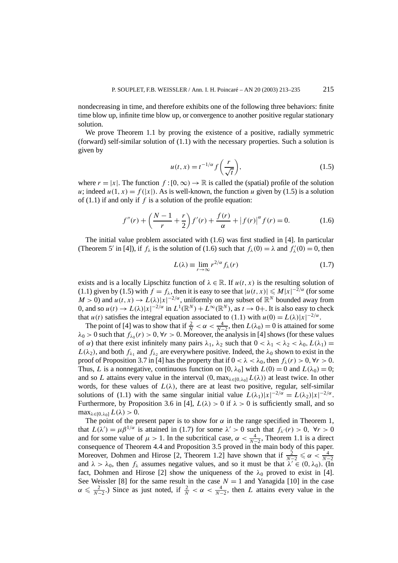nondecreasing in time, and therefore exhibits one of the following three behaviors: finite time blow up, infinite time blow up, or convergence to another positive regular stationary solution.

We prove Theorem 1.1 by proving the existence of a positive, radially symmetric (forward) self-similar solution of (1.1) with the necessary properties. Such a solution is given by

$$
u(t,x) = t^{-1/\alpha} f\left(\frac{r}{\sqrt{t}}\right),\tag{1.5}
$$

where  $r = |x|$ . The function  $f : [0, \infty) \to \mathbb{R}$  is called the (spatial) profile of the solution *u*; indeed  $u(1, x) = f(|x|)$ . As is well-known, the function *u* given by (1.5) is a solution of (1.1) if and only if *f* is a solution of the profile equation:

$$
f''(r) + \left(\frac{N-1}{r} + \frac{r}{2}\right)f'(r) + \frac{f(r)}{\alpha} + |f(r)|^{\alpha} f(r) = 0.
$$
 (1.6)

The initial value problem associated with (1.6) was first studied in [4]. In particular (Theorem 5' in [4]), if  $f_\lambda$  is the solution of (1.6) such that  $f_\lambda(0) = \lambda$  and  $f'_\lambda(0) = 0$ , then

$$
L(\lambda) \equiv \lim_{r \to \infty} r^{2/\alpha} f_{\lambda}(r) \tag{1.7}
$$

exists and is a locally Lipschitz function of  $\lambda \in \mathbb{R}$ . If  $u(t, x)$  is the resulting solution of (1.1) given by (1.5) with  $f = f_\lambda$ , then it is easy to see that  $|u(t, x)| \le M|x|^{-2/\alpha}$  (for some  $M > 0$ ) and  $u(t, x) \to L(\lambda)|x|^{-2/\alpha}$ , uniformly on any subset of  $\mathbb{R}^N$  bounded away from 0, and so  $u(t) \to L(\lambda)|x|^{-2/\alpha}$  in  $L^1(\mathbb{R}^N) + L^\infty(\mathbb{R}^N)$ , as  $t \to 0+$ . It is also easy to check that *u(t)* satisfies the integral equation associated to (1.1) with  $u(0) = L(\lambda)|x|^{-2/\alpha}$ .

The point of [4] was to show that if  $\frac{2}{N} < \alpha < \frac{4}{N-2}$ , then  $L(\lambda_0) = 0$  is attained for some  $\lambda_0 > 0$  such that  $f_{\lambda_0}(r) > 0$ ,  $\forall r > 0$ . Moreover, the analysis in [4] shows (for these values of *α*) that there exist infinitely many pairs  $\lambda_1$ ,  $\lambda_2$  such that  $0 < \lambda_1 < \lambda_2 < \lambda_0$ ,  $L(\lambda_1) =$  $L(\lambda_2)$ , and both  $f_{\lambda_1}$  and  $f_{\lambda_2}$  are everywhere positive. Indeed, the  $\lambda_0$  shown to exist in the proof of Proposition 3.7 in [4] has the property that if  $0 < \lambda < \lambda_0$ , then  $f_{\lambda}(r) > 0$ ,  $\forall r > 0$ . Thus, *L* is a nonnegative, continuous function on [0,  $\lambda_0$ ] with  $L(0) = 0$  and  $L(\lambda_0) = 0$ ; and so *L* attains every value in the interval  $(0, \max_{\lambda \in [0, \lambda_0]} L(\lambda))$  at least twice. In other words, for these values of  $L(\lambda)$ , there are at least two positive, regular, self-similar solutions of (1.1) with the same singular initial value  $L(\lambda_1)|x|^{-2/\alpha} = L(\lambda_2)|x|^{-2/\alpha}$ . Furthermore, by Proposition 3.6 in [4],  $L(\lambda) > 0$  if  $\lambda > 0$  is sufficiently small, and so  $\max_{\lambda \in [0, \lambda_0]} L(\lambda) > 0.$ 

The point of the present paper is to show for  $\alpha$  in the range specified in Theorem 1, that  $L(\lambda') = \mu \beta^{1/\alpha}$  is attained in (1.7) for some  $\lambda' > 0$  such that  $f_{\lambda'}(r) > 0$ ,  $\forall r > 0$ and for some value of  $\mu > 1$ . In the subcritical case,  $\alpha < \frac{4}{N-2}$ , Theorem 1.1 is a direct consequence of Theorem 4.4 and Proposition 3.5 proved in the main body of this paper. Moreover, Dohmen and Hirose [2, Theorem 1.2] have shown that if  $\frac{2}{N-2} \le \alpha < \frac{4}{N-2}$ and  $\lambda > \lambda_0$ , then  $f_\lambda$  assumes negative values, and so it must be that  $\lambda' \in (0, \lambda_0)$ . (In fact, Dohmen and Hirose [2] show the uniqueness of the  $\lambda_0$  proved to exist in [4]. See Weissler [8] for the same result in the case  $N = 1$  and Yanagida [10] in the case  $\alpha \le \frac{2}{N-2}$ .) Since as just noted, if  $\frac{2}{N} < \alpha < \frac{4}{N-2}$ , then *L* attains every value in the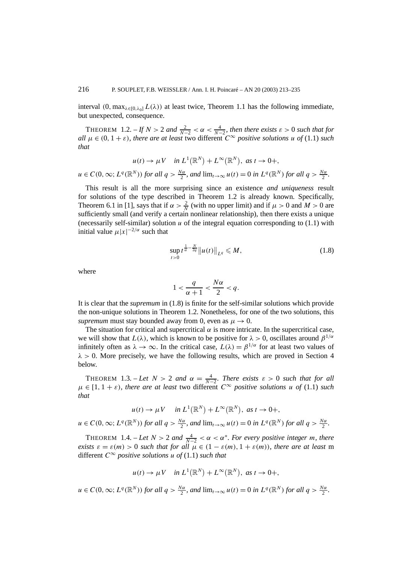interval  $(0, \max_{\lambda \in [0, \lambda_0]} L(\lambda))$  at least twice, Theorem 1.1 has the following immediate, but unexpected, consequence.

THEOREM 1.2.  $-ff N > 2$  and  $\frac{2}{N-2} < \alpha < \frac{4}{N-2}$ , then there exists  $\varepsilon > 0$  such that for *all*  $\mu \in (0, 1 + \varepsilon)$ *, there are at least* two different  $C^{\infty}$  *positive solutions*  $\mu$  *of* (1.1) *such that*

$$
u(t) \to \mu V
$$
 in  $L^1(\mathbb{R}^N) + L^\infty(\mathbb{R}^N)$ , as  $t \to 0+$ ,

 $u \in C(0,\infty; L^q(\mathbb{R}^N))$  for all  $q > \frac{N\alpha}{2}$ , and  $\lim_{t \to \infty} u(t) = 0$  in  $L^q(\mathbb{R}^N)$  for all  $q > \frac{N\alpha}{2}$ .

This result is all the more surprising since an existence *and uniqueness* result for solutions of the type described in Theorem 1.2 is already known. Specifically, Theorem 6.1 in [1], says that if  $\alpha > \frac{2}{N}$  (with no upper limit) and if  $\mu > 0$  and  $M > 0$  are sufficiently small (and verify a certain nonlinear relationship), then there exists a unique (necessarily self-similar) solution  $u$  of the integral equation corresponding to  $(1.1)$  with initial value  $\mu |x|^{-2/\alpha}$  such that

$$
\sup_{t>0} t^{\frac{1}{\alpha}-\frac{N}{2q}} \|u(t)\|_{L^q} \leqslant M,
$$
\n(1.8)

where

$$
1 < \frac{q}{\alpha + 1} < \frac{N\alpha}{2} < q.
$$

It is clear that the *supremum* in (1.8) is finite for the self-similar solutions which provide the non-unique solutions in Theorem 1.2. Nonetheless, for one of the two solutions, this *supremum* must stay bounded away from 0, even as  $\mu \rightarrow 0$ .

The situation for critical and supercritical  $\alpha$  is more intricate. In the supercritical case, we will show that  $L(\lambda)$ , which is known to be positive for  $\lambda > 0$ , oscillates around  $\beta^{1/\alpha}$ infinitely often as  $\lambda \to \infty$ . In the critical case,  $L(\lambda) = \beta^{1/\alpha}$  for at least two values of  $\lambda > 0$ . More precisely, we have the following results, which are proved in Section 4 below.

THEOREM 1.3. – Let  $N > 2$  and  $\alpha = \frac{4}{N-2}$ . There exists  $\varepsilon > 0$  such that for all  $\mu \in [1, 1 + \varepsilon)$ *, there are at least* two different  $C^{\infty}$  *positive solutions u of* (1.1) *such that*

 $u(t) \to \mu V$  *in*  $L^1(\mathbb{R}^N) + L^\infty(\mathbb{R}^N)$ *, as*  $t \to 0^+,$ 

 $u \in C(0,\infty; L^q(\mathbb{R}^N))$  for all  $q > \frac{N\alpha}{2}$ , and  $\lim_{t \to \infty} u(t) = 0$  in  $L^q(\mathbb{R}^N)$  for all  $q > \frac{N\alpha}{2}$ .

THEOREM 1.4. – Let  $N > 2$  and  $\frac{4}{N-2} < \alpha < \alpha^*$ . For every positive integer *m*, there *exists*  $\varepsilon = \varepsilon(m) > 0$  *such that for all*  $\mu \in (1 - \varepsilon(m), 1 + \varepsilon(m))$ *, there are at least* m different  $C^{\infty}$  *positive solutions u of* (1.1) *such that* 

$$
u(t) \to \mu V \quad \text{in } L^1(\mathbb{R}^N) + L^\infty(\mathbb{R}^N), \text{ as } t \to 0+,
$$

 $u \in C(0,\infty; L^q(\mathbb{R}^N))$  for all  $q > \frac{N\alpha}{2}$ , and  $\lim_{t \to \infty} u(t) = 0$  in  $L^q(\mathbb{R}^N)$  for all  $q > \frac{N\alpha}{2}$ .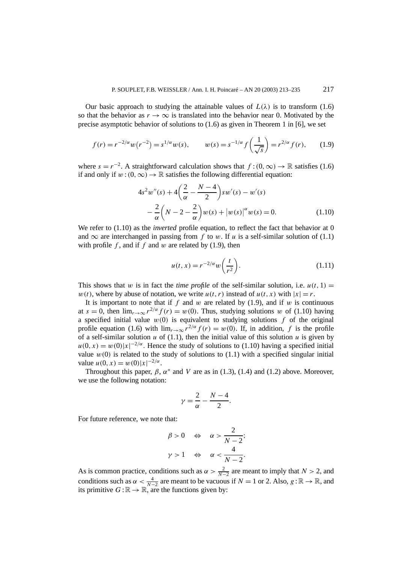Our basic approach to studying the attainable values of  $L(\lambda)$  is to transform (1.6) so that the behavior as  $r \to \infty$  is translated into the behavior near 0. Motivated by the precise asymptotic behavior of solutions to (1.6) as given in Theorem 1 in [6], we set

$$
f(r) = r^{-2/\alpha} w(r^{-2}) = s^{1/\alpha} w(s), \qquad w(s) = s^{-1/\alpha} f\left(\frac{1}{\sqrt{s}}\right) = r^{2/\alpha} f(r), \qquad (1.9)
$$

where  $s = r^{-2}$ . A straightforward calculation shows that  $f:(0, \infty) \to \mathbb{R}$  satisfies (1.6) if and only if  $w:(0,\infty) \to \mathbb{R}$  satisfies the following differential equation:

$$
4s2w''(s) + 4\left(\frac{2}{\alpha} - \frac{N-4}{2}\right)sw'(s) - w'(s)
$$
  
 
$$
-\frac{2}{\alpha}\left(N-2-\frac{2}{\alpha}\right)w(s) + |w(s)|^{\alpha}w(s) = 0.
$$
 (1.10)

We refer to  $(1.10)$  as the *inverted* profile equation, to reflect the fact that behavior at 0 and  $\infty$  are interchanged in passing from *f* to *w*. If *u* is a self-similar solution of (1.1) with profile *f* , and if *f* and *w* are related by (1.9), then

$$
u(t,x) = r^{-2/\alpha} w\left(\frac{t}{r^2}\right).
$$
 (1.11)

This shows that *w* is in fact the *time profile* of the self-similar solution, i.e.  $u(t, 1) =$  $w(t)$ , where by abuse of notation, we write  $u(t, r)$  instead of  $u(t, x)$  with  $|x| = r$ .

It is important to note that if  $f$  and  $w$  are related by (1.9), and if  $w$  is continuous at  $s = 0$ , then  $\lim_{r \to \infty} r^{2/\alpha} f(r) = w(0)$ . Thus, studying solutions *w* of (1.10) having a specified initial value  $w(0)$  is equivalent to studying solutions  $f$  of the original profile equation (1.6) with  $\lim_{r\to\infty} r^{2/\alpha} f(r) = w(0)$ . If, in addition, f is the profile of a self-similar solution  $u$  of (1.1), then the initial value of this solution  $u$  is given by  $u(0, x) = w(0)|x|^{-2/\alpha}$ . Hence the study of solutions to (1.10) having a specified initial value  $w(0)$  is related to the study of solutions to  $(1.1)$  with a specified singular initial value  $u(0, x) = w(0)|x|^{-2/\alpha}$ .

Throughout this paper,  $\beta$ ,  $\alpha^*$  and *V* are as in (1.3), (1.4) and (1.2) above. Moreover, we use the following notation:

$$
\gamma = \frac{2}{\alpha} - \frac{N-4}{2}.
$$

For future reference, we note that:

$$
\begin{aligned}\n\beta > 0 &\Leftrightarrow & \alpha > \frac{2}{N-2}; \\
\gamma > 1 &\Leftrightarrow & \alpha < \frac{4}{N-2}.\n\end{aligned}
$$

As is common practice, conditions such as  $\alpha > \frac{2}{N-2}$  are meant to imply that *N* > 2, and conditions such as  $\alpha < \frac{4}{N-2}$  are meant to be vacuous if  $N = 1$  or 2. Also,  $g : \mathbb{R} \to \mathbb{R}$ , and its primitive  $G : \mathbb{R} \to \mathbb{R}$ , are the functions given by: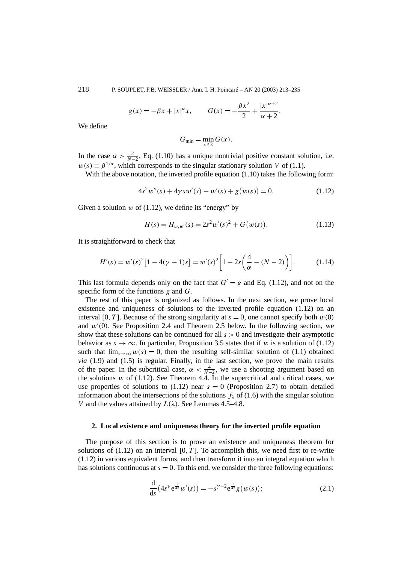218 P. SOUPLET, F.B. WEISSLER / Ann. I. H. Poincaré – AN 20 (2003) 213–235

$$
g(x) = -\beta x + |x|^{\alpha} x
$$
,  $G(x) = -\frac{\beta x^2}{2} + \frac{|x|^{\alpha+2}}{\alpha+2}$ .

We define

$$
G_{\min} = \min_{x \in \mathbb{R}} G(x).
$$

In the case  $\alpha > \frac{2}{N-2}$ , Eq. (1.10) has a unique nontrivial positive constant solution, i.e.  $w(s) = \beta^{1/\alpha}$ , which corresponds to the singular stationary solution *V* of (1.1).

With the above notation, the inverted profile equation (1.10) takes the following form:

$$
4s2w''(s) + 4\gamma sw'(s) - w'(s) + g(w(s)) = 0.
$$
 (1.12)

Given a solution  $w$  of (1.12), we define its "energy" by

$$
H(s) = H_{w,w'}(s) = 2s^2 w'(s)^2 + G(w(s)).
$$
\n(1.13)

It is straightforward to check that

$$
H'(s) = w'(s)^{2} [1 - 4(\gamma - 1)s] = w'(s)^{2} [1 - 2s(\frac{4}{\alpha} - (N - 2))].
$$
 (1.14)

This last formula depends only on the fact that  $G' = g$  and Eq. (1.12), and not on the specific form of the functions *g* and *G*.

The rest of this paper is organized as follows. In the next section, we prove local existence and uniqueness of solutions to the inverted profile equation (1.12) on an interval [0, T]. Because of the strong singularity at  $s = 0$ , one cannot specify both  $w(0)$ and  $w'(0)$ . See Proposition 2.4 and Theorem 2.5 below. In the following section, we show that these solutions can be continued for all  $s > 0$  and investigate their asymptotic behavior as  $s \to \infty$ . In particular, Proposition 3.5 states that if *w* is a solution of (1.12) such that  $\lim_{s\to\infty} w(s) = 0$ , then the resulting self-similar solution of (1.1) obtained *via* (1.9) and (1.5) is regular. Finally, in the last section, we prove the main results of the paper. In the subcritical case,  $\alpha < \frac{4}{N-2}$ , we use a shooting argument based on the solutions  $w$  of (1.12). See Theorem 4.4. In the supercritical and critical cases, we use properties of solutions to  $(1.12)$  near  $s = 0$  (Proposition 2.7) to obtain detailed information about the intersections of the solutions  $f_{\lambda}$  of (1.6) with the singular solution *V* and the values attained by  $L(\lambda)$ . See Lemmas 4.5–4.8.

## **2. Local existence and uniqueness theory for the inverted profile equation**

The purpose of this section is to prove an existence and uniqueness theorem for solutions of  $(1.12)$  on an interval  $[0, T]$ . To accomplish this, we need first to re-write (1.12) in various equivalent forms, and then transform it into an integral equation which has solutions continuous at  $s = 0$ . To this end, we consider the three following equations:

$$
\frac{d}{ds}(4s^{\gamma}e^{\frac{1}{4s}}w'(s)) = -s^{\gamma-2}e^{\frac{1}{4s}}g(w(s));
$$
\n(2.1)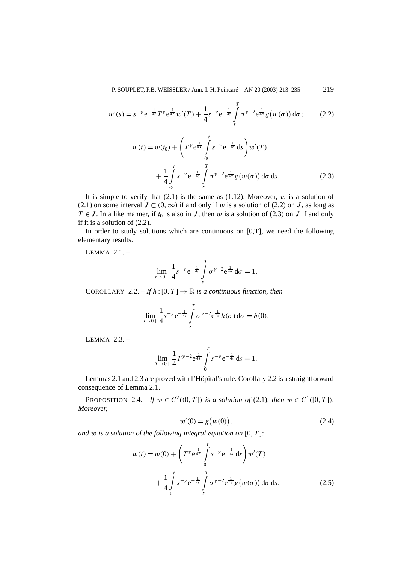$$
w'(s) = s^{-\gamma} e^{-\frac{1}{4s}} T^{\gamma} e^{\frac{1}{4T}} w'(T) + \frac{1}{4} s^{-\gamma} e^{-\frac{1}{4s}} \int_{s}^{T} \sigma^{\gamma - 2} e^{\frac{1}{4\sigma}} g(w(\sigma)) d\sigma; \qquad (2.2)
$$

$$
w(t) = w(t_0) + \left(T^{\gamma} e^{\frac{1}{4T}} \int_{t_0}^t s^{-\gamma} e^{-\frac{1}{4s}} ds\right) w'(T)
$$
  
+ 
$$
\frac{1}{4} \int_{t_0}^t s^{-\gamma} e^{-\frac{1}{4s}} \int_s^T \sigma^{\gamma-2} e^{\frac{1}{4\sigma}} g(w(\sigma)) d\sigma ds.
$$
 (2.3)

It is simple to verify that  $(2.1)$  is the same as  $(1.12)$ . Moreover, *w* is a solution of (2.1) on some interval *J* ⊂  $(0, ∞)$  if and only if *w* is a solution of (2.2) on *J*, as long as  $T \in J$ . In a like manner, if  $t_0$  is also in *J*, then *w* is a solution of (2.3) on *J* if and only if it is a solution of (2.2).

In order to study solutions which are continuous on  $[0,T]$ , we need the following elementary results.

LEMMA 2.1. –

$$
\lim_{s \to 0+} \frac{1}{4} s^{-\gamma} e^{-\frac{1}{4s}} \int_{s}^{T} \sigma^{\gamma - 2} e^{\frac{1}{4\sigma}} d\sigma = 1.
$$

COROLLARY 2.2. – If  $h:[0,T] \to \mathbb{R}$  is a continuous function, then

$$
\lim_{s\to 0+}\frac{1}{4}s^{-\gamma}e^{-\frac{1}{4s}}\int\limits_{s}^{T}\sigma^{\gamma-2}e^{\frac{1}{4\sigma}}h(\sigma)\,d\sigma=h(0).
$$

LEMMA 2.3. –

$$
\lim_{T \to 0+} \frac{1}{4} T^{\gamma - 2} e^{\frac{1}{4T}} \int_{0}^{T} s^{-\gamma} e^{-\frac{1}{4s}} ds = 1.
$$

Lemmas 2.1 and 2.3 are proved with l'Hôpital's rule. Corollary 2.2 is a straightforward consequence of Lemma 2.1.

**PROPOSITION** 2.4. – *If*  $w \in C^2((0, T])$  *is a solution of* (2.1)*, then*  $w \in C^1([0, T])$ *. Moreover,*

$$
w'(0) = g(w(0)),
$$
\n(2.4)

*and w is a solution of the following integral equation on* [0*, T* ]:

$$
w(t) = w(0) + \left(T^{\gamma} e^{\frac{1}{4T}} \int_{0}^{t} s^{-\gamma} e^{-\frac{1}{4s}} ds\right) w'(T)
$$
  
+ 
$$
\frac{1}{4} \int_{0}^{t} s^{-\gamma} e^{-\frac{1}{4s}} \int_{s}^{T} \sigma^{\gamma-2} e^{\frac{1}{4\sigma}} g(w(\sigma)) d\sigma ds.
$$
 (2.5)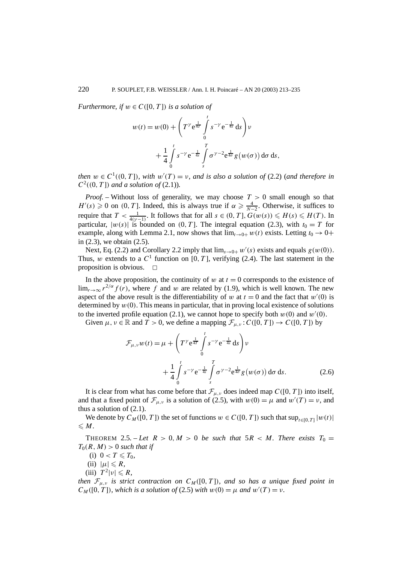*Furthermore, if*  $w \in C([0, T])$  *is a solution of* 

$$
w(t) = w(0) + \left(T^{\gamma} e^{\frac{1}{4T}} \int_{0}^{t} s^{-\gamma} e^{-\frac{1}{4s}} ds\right) v
$$
  
+ 
$$
\frac{1}{4} \int_{0}^{t} s^{-\gamma} e^{-\frac{1}{4s}} \int_{s}^{T} \sigma^{\gamma-2} e^{\frac{1}{4\sigma}} g(w(\sigma)) d\sigma ds,
$$

*then*  $w \in C^1((0, T])$ *, with*  $w'(T) = v$ *, and is also a solution of* (2.2) (*and therefore in*  $C^2((0, T])$  *and a solution of* (2.1)).

*Proof. –* Without loss of generality, we may choose *T >* 0 small enough so that  $H'(s) \geq 0$  on  $(0, T]$ . Indeed, this is always true if  $\alpha \geq \frac{4}{N-2}$ . Otherwise, it suffices to require that  $T < \frac{1}{4(\gamma - 1)}$ . It follows that for all  $s \in (0, T]$ ,  $G(w(s)) \leq H(s) \leq H(T)$ . In particular,  $|w(s)|$  is bounded on  $(0, T]$ . The integral equation (2.3), with  $t_0 = T$  for example, along with Lemma 2.1, now shows that  $\lim_{t\to 0+} w(t)$  exists. Letting  $t_0 \to 0+$ in (2.3), we obtain (2.5).

Next, Eq. (2.2) and Corollary 2.2 imply that  $\lim_{s\to 0+} w'(s)$  exists and equals  $g(w(0))$ . Thus, *w* extends to a  $C^1$  function on [0, T], verifying (2.4). The last statement in the proposition is obvious.  $\square$ 

In the above proposition, the continuity of  $w$  at  $t = 0$  corresponds to the existence of  $\lim_{r\to\infty} r^{2/\alpha} f(r)$ , where f and *w* are related by (1.9), which is well known. The new aspect of the above result is the differentiability of *w* at  $t = 0$  and the fact that  $w'(0)$  is determined by  $w(0)$ . This means in particular, that in proving local existence of solutions to the inverted profile equation (2.1), we cannot hope to specify both  $w(0)$  and  $w'(0)$ .

Given  $\mu, \nu \in \mathbb{R}$  and  $T > 0$ , we define a mapping  $\mathcal{F}_{\mu,\nu}$ :  $C([0, T]) \to C([0, T])$  by

$$
\mathcal{F}_{\mu,\nu}w(t) = \mu + \left(T^{\gamma}e^{\frac{1}{4T}} \int_{0}^{t} s^{-\gamma}e^{-\frac{1}{4s}} ds\right)\nu
$$

$$
+ \frac{1}{4} \int_{0}^{t} s^{-\gamma}e^{-\frac{1}{4s}} \int_{s}^{T} \sigma^{\gamma-2}e^{\frac{1}{4\sigma}} g(w(\sigma)) d\sigma ds.
$$
(2.6)

It is clear from what has come before that  $\mathcal{F}_{\mu,\nu}$  does indeed map  $C([0, T])$  into itself, and that a fixed point of  $\mathcal{F}_{\mu,\nu}$  is a solution of (2.5), with  $w(0) = \mu$  and  $w'(T) = \nu$ , and thus a solution of  $(2.1)$ .

We denote by  $C_M([0, T])$  the set of functions  $w \in C([0, T])$  such that  $\sup_{t \in [0, T]} |w(t)|$  $\leqslant M$ .

THEOREM 2.5. – Let  $R > 0$ ,  $M > 0$  be such that  $5R < M$ . There exists  $T_0 =$  $T_0(R,M) > 0$  *such that if* 

- (i)  $0 < T \le T_0$ ,
- $(ii)$   $|\mu| \le R$ ,
- $(T^2|\nu| \le R$ ,

*then*  $\mathcal{F}_{\mu,\nu}$  *is strict contraction on*  $C_M([0,T])$ *, and so has a unique fixed point in*  $C_M([0, T])$ *, which is a solution of* (2.5) *with*  $w(0) = \mu$  *and*  $w'(T) = \nu$ *.*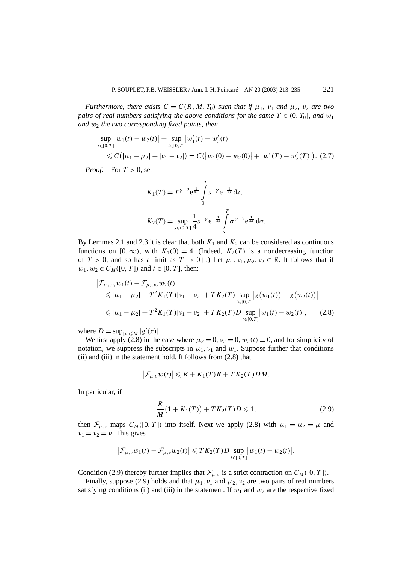*Furthermore, there exists*  $C = C(R, M, T_0)$  *such that if*  $\mu_1$ *,*  $\nu_1$  *and*  $\mu_2$ *,*  $\nu_2$  *are two pairs of real numbers satisfying the above conditions for the same*  $T \in (0, T_0]$ *, and*  $w_1$ *and w*<sup>2</sup> *the two corresponding fixed points, then*

$$
\sup_{t \in [0,T]} |w_1(t) - w_2(t)| + \sup_{t \in [0,T]} |w'_1(t) - w'_2(t)|
$$
  
\$\leq C(|\mu\_1 - \mu\_2| + |\nu\_1 - \nu\_2|) = C(|w\_1(0) - w\_2(0)| + |w'\_1(T) - w'\_2(T)|). (2.7)

*Proof. –* For *T >* 0, set

$$
K_1(T) = T^{\gamma - 2} e^{\frac{1}{4T}} \int_0^T s^{-\gamma} e^{-\frac{1}{4s}} ds,
$$
  

$$
K_2(T) = \sup_{s \in (0,T]} \frac{1}{4} s^{-\gamma} e^{-\frac{1}{4s}} \int_s^T \sigma^{\gamma - 2} e^{\frac{1}{4\sigma}} d\sigma.
$$

By Lemmas 2.1 and 2.3 it is clear that both  $K_1$  and  $K_2$  can be considered as continuous functions on  $[0, \infty)$ , with  $K_1(0) = 4$ . (Indeed,  $K_2(T)$  is a nondecreasing function of  $T > 0$ , and so has a limit as  $T \to 0+$ .) Let  $\mu_1, \nu_1, \mu_2, \nu_2 \in \mathbb{R}$ . It follows that if  $w_1, w_2 \in C_M([0, T])$  and  $t \in [0, T]$ , then:

$$
\begin{aligned} \left| \mathcal{F}_{\mu_1, \nu_1} w_1(t) - \mathcal{F}_{\mu_2, \nu_2} w_2(t) \right| \\ &\leqslant |\mu_1 - \mu_2| + T^2 K_1(T) |\nu_1 - \nu_2| + T K_2(T) \sup_{t \in [0, T]} \left| g(w_1(t)) - g(w_2(t)) \right| \\ &\leqslant |\mu_1 - \mu_2| + T^2 K_1(T) |\nu_1 - \nu_2| + T K_2(T) D \sup_{t \in [0, T]} |w_1(t) - w_2(t)|, \end{aligned} \tag{2.8}
$$

where  $D = \sup_{|x| \le M} |g'(x)|$ .

We first apply (2.8) in the case where  $\mu_2 = 0$ ,  $\nu_2 = 0$ ,  $w_2(t) \equiv 0$ , and for simplicity of notation, we suppress the subscripts in  $\mu_1$ ,  $\nu_1$  and  $w_1$ . Suppose further that conditions (ii) and (iii) in the statement hold. It follows from (2.8) that

$$
\big|\mathcal{F}_{\mu,\nu}w(t)\big|\leqslant R+K_1(T)R+TK_2(T)DM.
$$

In particular, if

$$
\frac{R}{M}(1+K_1(T)) + TK_2(T)D \leq 1,
$$
\n(2.9)

then  $\mathcal{F}_{\mu,\nu}$  maps  $C_M([0,T])$  into itself. Next we apply (2.8) with  $\mu_1 = \mu_2 = \mu$  and  $\nu_1 = \nu_2 = \nu$ . This gives

$$
\big|\mathcal{F}_{\mu,\nu}w_1(t)-\mathcal{F}_{\mu,\nu}w_2(t)\big|\leqslant TK_2(T)D\sup_{t\in[0,T]}|w_1(t)-w_2(t)|.
$$

Condition (2.9) thereby further implies that  $\mathcal{F}_{\mu,\nu}$  is a strict contraction on  $C_M([0, T])$ .

Finally, suppose (2.9) holds and that  $\mu_1$ ,  $\nu_1$  and  $\mu_2$ ,  $\nu_2$  are two pairs of real numbers satisfying conditions (ii) and (iii) in the statement. If  $w_1$  and  $w_2$  are the respective fixed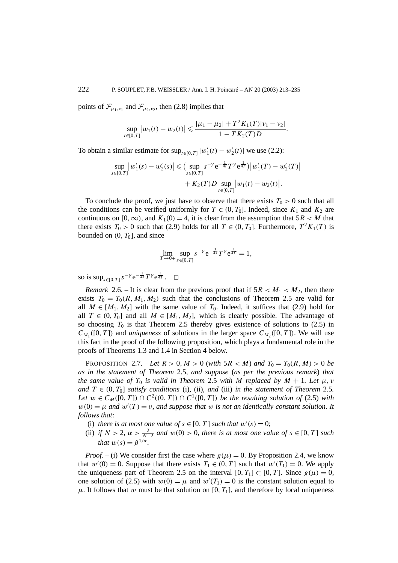points of  $\mathcal{F}_{\mu_1,\nu_1}$  and  $\mathcal{F}_{\mu_2,\nu_2}$ , then (2.8) implies that

$$
\sup_{t\in[0,T]}|w_1(t)-w_2(t)|\leqslant \frac{|\mu_1-\mu_2|+T^2K_1(T)|v_1-v_2|}{1-TK_2(T)D}.
$$

To obtain a similar estimate for  $\sup_{t \in [0,T]} |w'_1(t) - w'_2(t)|$  we use (2.2):

$$
\sup_{s \in [0,T]} |w'_1(s) - w'_2(s)| \leqslant \big(\sup_{s \in [0,T]} s^{-\gamma} e^{-\frac{1}{4s}} T^{\gamma} e^{\frac{1}{4T}}\big) |w'_1(T) - w'_2(T)| + K_2(T)D \sup_{t \in [0,T]} |w_1(t) - w_2(t)|.
$$

To conclude the proof, we just have to observe that there exists  $T_0 > 0$  such that all the conditions can be verified uniformly for  $T \in (0, T_0]$ . Indeed, since  $K_1$  and  $K_2$  are continuous on [0,  $\infty$ ), and  $K_1(0) = 4$ , it is clear from the assumption that  $5R < M$  that there exists  $T_0 > 0$  such that (2.9) holds for all  $T \in (0, T_0]$ . Furthermore,  $T^2 K_1(T)$  is bounded on  $(0, T_0]$ , and since

$$
\lim_{T \to 0+} \sup_{s \in [0,T]} s^{-\gamma} e^{-\frac{1}{4s}} T^{\gamma} e^{\frac{1}{4T}} = 1,
$$

so is  $\sup_{s \in [0,T]} s^{-\gamma} e^{-\frac{1}{4s}} T^{\gamma} e^{\frac{1}{4T}}$ . □

*Remark* 2.6. – It is clear from the previous proof that if  $5R < M_1 < M_2$ , then there exists  $T_0 = T_0(R, M_1, M_2)$  such that the conclusions of Theorem 2.5 are valid for all  $M \in [M_1, M_2]$  with the same value of  $T_0$ . Indeed, it suffices that (2.9) hold for all  $T \in (0, T_0]$  and all  $M \in [M_1, M_2]$ , which is clearly possible. The advantage of so choosing  $T_0$  is that Theorem 2.5 thereby gives existence of solutions to (2.5) in  $C_{M_1}([0, T])$  and *uniqueness* of solutions in the larger space  $C_{M_2}([0, T])$ . We will use this fact in the proof of the following proposition, which plays a fundamental role in the proofs of Theorems 1.3 and 1.4 in Section 4 below.

**PROPOSITION** 2.7. – Let  $R > 0$ ,  $M > 0$  (with  $5R < M$ ) and  $T_0 = T_0(R, M) > 0$  be *as in the statement of Theorem* 2.5*, and suppose* (*as per the previous remark*) *that the same value of*  $T_0$  *is valid in Theorem* 2.5 *with M replaced by*  $M + 1$ *. Let*  $\mu$ *, v and*  $T \in (0, T_0]$  *satisfy conditions* (i), (ii)*, and* (iii) *in the statement of Theorem* 2.5*. Let*  $w \in C_M([0, T]) \cap C^2((0, T]) \cap C^1([0, T])$  *be the resulting solution of* (2.5) *with*  $w(0) = \mu$  *and*  $w'(T) = \nu$ , *and suppose that*  $w$  *is not an identically constant solution. It follows that*:

- (i) *there is at most one value of*  $s \in [0, T]$  *such that*  $w'(s) = 0$ ;
- (ii) *if*  $N > 2$ ,  $\alpha > \frac{2}{N-2}$  *and*  $w(0) > 0$ , *there is at most one value of*  $s \in [0, T]$  *such that*  $w(s) = \beta^{1/\alpha}$ *.*

*Proof.* – (i) We consider first the case where  $g(\mu) = 0$ . By Proposition 2.4, we know that  $w'(0) = 0$ . Suppose that there exists  $T_1 \in (0, T]$  such that  $w'(T_1) = 0$ . We apply the uniqueness part of Theorem 2.5 on the interval  $[0, T_1] \subset [0, T]$ . Since  $g(\mu) = 0$ , one solution of (2.5) with  $w(0) = \mu$  and  $w'(T_1) = 0$  is the constant solution equal to  $\mu$ . It follows that *w* must be that solution on [0, *T*<sub>1</sub>], and therefore by local uniqueness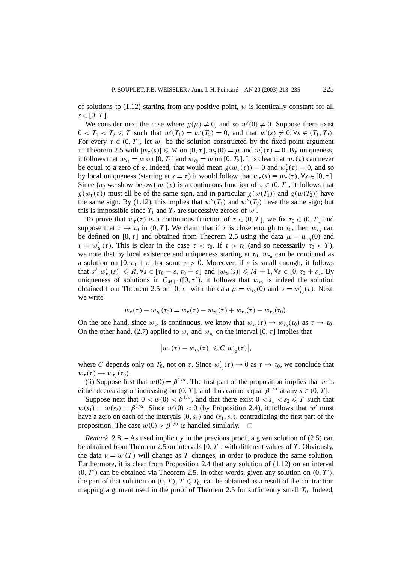of solutions to (1.12) starting from any positive point, *w* is identically constant for all  $s ∈ [0, T]$ .

We consider next the case where  $g(\mu) \neq 0$ , and so  $w'(0) \neq 0$ . Suppose there exist  $0 < T_1 < T_2 \le T$  such that  $w'(T_1) = w'(T_2) = 0$ , and that  $w'(s) \ne 0, \forall s \in (T_1, T_2)$ . For every  $\tau \in (0, T]$ , let  $w_{\tau}$  be the solution constructed by the fixed point argument in Theorem 2.5 with  $|w_\tau(s)| \le M$  on  $[0, \tau]$ ,  $w_\tau(0) = \mu$  and  $w'_\tau(\tau) = 0$ . By uniqueness, it follows that  $w_{T_1} = w$  on [0,  $T_1$ ] and  $w_{T_2} = w$  on [0,  $T_2$ ]. It is clear that  $w_{\tau}(\tau)$  can never be equal to a zero of *g*. Indeed, that would mean  $g(w_\tau(\tau)) = 0$  and  $w'_\tau(\tau) = 0$ , and so by local uniqueness (starting at  $s = \tau$ ) it would follow that  $w_{\tau}(s) \equiv w_{\tau}(\tau)$ ,  $\forall s \in [0, \tau]$ . Since (as we show below)  $w_{\tau}(\tau)$  is a continuous function of  $\tau \in (0, T]$ , it follows that  $g(w_\tau(\tau))$  must all be of the same sign, and in particular  $g(w(T_1))$  and  $g(w(T_2))$  have the same sign. By (1.12), this implies that  $w''(T_1)$  and  $w''(T_2)$  have the same sign; but this is impossible since  $T_1$  and  $T_2$  are successive zeroes of  $w'$ .

To prove that  $w_\tau(\tau)$  is a continuous function of  $\tau \in (0, T]$ , we fix  $\tau_0 \in (0, T]$  and suppose that  $\tau \to \tau_0$  in  $(0, T]$ . We claim that if  $\tau$  is close enough to  $\tau_0$ , then  $w_{\tau_0}$  can be defined on [0,  $\tau$ ] and obtained from Theorem 2.5 using the data  $\mu = w_{\tau_0}(0)$  and *ν* =  $w'_{\tau_0}(\tau)$ . This is clear in the case  $\tau < \tau_0$ . If  $\tau > \tau_0$  (and so necessarily  $\tau_0 < T$ ), we note that by local existence and uniqueness starting at  $\tau_0$ ,  $w_{\tau_0}$  can be continued as a solution on  $[0, \tau_0 + \varepsilon]$  for some  $\varepsilon > 0$ . Moreover, if  $\varepsilon$  is small enough, it follows  $\text{that } s^2|w'_{\tau_0}(s)| \leq R, \forall s \in [\tau_0 - \varepsilon, \tau_0 + \varepsilon] \text{ and } |w_{\tau_0}(s)| \leq M + 1, \forall s \in [0, \tau_0 + \varepsilon]$ . By uniqueness of solutions in  $C_{M+1}([0, \tau])$ , it follows that  $w_{\tau_0}$  is indeed the solution obtained from Theorem 2.5 on [0,  $\tau$ ] with the data  $\mu = w_{\tau_0}(0)$  and  $\nu = w'_{\tau_0}(\tau)$ . Next, we write

$$
w_{\tau}(\tau) - w_{\tau_0}(\tau_0) = w_{\tau}(\tau) - w_{\tau_0}(\tau) + w_{\tau_0}(\tau) - w_{\tau_0}(\tau_0).
$$

On the one hand, since  $w_{\tau_0}$  is continuous, we know that  $w_{\tau_0}(\tau) \to w_{\tau_0}(\tau_0)$  as  $\tau \to \tau_0$ . On the other hand, (2.7) applied to  $w<sub>\tau</sub>$  and  $w<sub>\tau<sub>0</sub>}</sub>$  on the interval [0,  $\tau$ ] implies that

$$
\big|w_\tau(\tau)-w_{\tau_0}(\tau)\big|\leqslant C\big|w_{\tau_0}'(\tau)\big|,
$$

where *C* depends only on  $T_0$ , not on  $\tau$ . Since  $w'_{\tau_0}(\tau) \to 0$  as  $\tau \to \tau_0$ , we conclude that  $w_{\tau}(\tau) \rightarrow w_{\tau_0}(\tau_0)$ .

(ii) Suppose first that  $w(0) = \beta^{1/\alpha}$ . The first part of the proposition implies that *w* is either decreasing or increasing on  $(0, T]$ , and thus cannot equal  $\beta^{1/\alpha}$  at any  $s \in (0, T]$ .

Suppose next that  $0 < w(0) < \beta^{1/\alpha}$ , and that there exist  $0 < s_1 < s_2 \le T$  such that  $w(s_1) = w(s_2) = \beta^{1/\alpha}$ . Since  $w'(0) < 0$  (by Proposition 2.4), it follows that  $w'$  must have a zero on each of the intervals  $(0, s_1)$  and  $(s_1, s_2)$ , contradicting the first part of the proposition. The case  $w(0) > \beta^{1/\alpha}$  is handled similarly.  $\square$ 

*Remark* 2.8. – As used implicitly in the previous proof, a given solution of (2.5) can be obtained from Theorem 2.5 on intervals [0*, T* ], with different values of *T* . Obviously, the data  $v = w'(T)$  will change as T changes, in order to produce the same solution. Furthermore, it is clear from Proposition 2.4 that any solution of (1.12) on an interval  $(0, T')$  can be obtained via Theorem 2.5. In other words, given any solution on  $(0, T')$ , the part of that solution on  $(0, T)$ ,  $T \leq T_0$ , can be obtained as a result of the contraction mapping argument used in the proof of Theorem 2.5 for sufficiently small  $T_0$ . Indeed,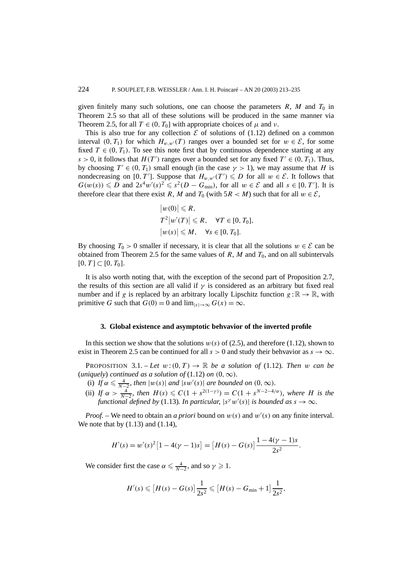given finitely many such solutions, one can choose the parameters  $R$ ,  $M$  and  $T_0$  in Theorem 2.5 so that all of these solutions will be produced in the same manner via Theorem 2.5, for all  $T \in (0, T_0]$  with appropriate choices of  $\mu$  and  $\nu$ .

This is also true for any collection  $\mathcal E$  of solutions of (1.12) defined on a common interval  $(0, T_1)$  for which  $H_{w,w'}(T)$  ranges over a bounded set for  $w \in \mathcal{E}$ , for some fixed  $T \in (0, T_1)$ . To see this note first that by continuous dependence starting at any *s* > 0, it follows that *H(T')* ranges over a bounded set for any fixed  $T' \in (0, T_1)$ . Thus, by choosing  $T' \in (0, T_1)$  small enough (in the case  $\gamma > 1$ ), we may assume that *H* is nondecreasing on  $[0, T']$ . Suppose that  $H_{w,w'}(T') \leq D$  for all  $w \in \mathcal{E}$ . It follows that  $G(w(s)) \leq D$  and  $2s^4w'(s)^2 \leq s^2(D - G_{\min})$ , for all  $w \in \mathcal{E}$  and all  $s \in [0, T']$ . It is therefore clear that there exist *R*, *M* and  $T_0$  (with  $5R < M$ ) such that for all  $w \in \mathcal{E}$ ,

$$
|w(0)| \le R,
$$
  
\n
$$
T^2|w'(T)| \le R, \quad \forall T \in [0, T_0],
$$
  
\n
$$
|w(s)| \le M, \quad \forall s \in [0, T_0].
$$

By choosing  $T_0 > 0$  smaller if necessary, it is clear that all the solutions  $w \in \mathcal{E}$  can be obtained from Theorem 2.5 for the same values of  $R$ ,  $M$  and  $T_0$ , and on all subintervals  $[0, T] \subset [0, T_0].$ 

It is also worth noting that, with the exception of the second part of Proposition 2.7, the results of this section are all valid if  $\gamma$  is considered as an arbitrary but fixed real number and if *g* is replaced by an arbitrary locally Lipschitz function  $g : \mathbb{R} \to \mathbb{R}$ , with primitive *G* such that  $G(0) = 0$  and  $\lim_{|x| \to \infty} G(x) = \infty$ .

### **3. Global existence and asymptotic behvavior of the inverted profile**

In this section we show that the solutions  $w(s)$  of (2.5), and therefore (1.12), shown to exist in Theorem 2.5 can be continued for all  $s > 0$  and study their behvavior as  $s \to \infty$ .

**PROPOSITION** 3.1. – Let  $w:(0, T) \to \mathbb{R}$  be a solution of (1.12). Then w can be (*uniquely*) *continued as a solution of* (1.12) *on*  $(0, \infty)$ *.* 

- (i) *If*  $\alpha \le \frac{4}{N-2}$ , then  $|w(s)|$  and  $|sw'(s)|$  are bounded on  $(0, \infty)$ .
- (ii) *If*  $\alpha > \frac{4}{N-2}$ *, then*  $H(s) \leq C(1 + s^{2(1-\gamma)}) = C(1 + s^{N-2-4/\alpha})$ *, where H is the functional defined by* (1.13). In particular,  $|s^{\gamma}w'(s)|$  is bounded as  $s \to \infty$ .

*Proof.* – We need to obtain an *a priori* bound on  $w(s)$  and  $w'(s)$  on any finite interval. We note that by  $(1.13)$  and  $(1.14)$ ,

$$
H'(s) = w'(s)^{2} [1 - 4(\gamma - 1)s] = [H(s) - G(s)] \frac{1 - 4(\gamma - 1)s}{2s^{2}}.
$$

We consider first the case  $\alpha \le \frac{4}{N-2}$ , and so  $\gamma \ge 1$ .

$$
H'(s) \leqslant [H(s) - G(s)] \frac{1}{2s^2} \leqslant [H(s) - G_{\min} + 1] \frac{1}{2s^2},
$$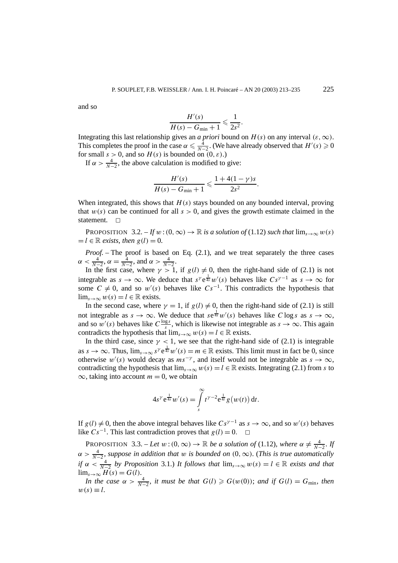and so

$$
\frac{H'(s)}{H(s) - G_{\min} + 1} \leqslant \frac{1}{2s^2}.
$$

Integrating this last relationship gives an *a priori* bound on  $H(s)$  on any interval  $(\varepsilon, \infty)$ . This completes the proof in the case  $\alpha \le \frac{4}{N-2}$ . (We have already observed that  $H'(s) \ge 0$ for small  $s > 0$ , and so  $H(s)$  is bounded on  $(0, \varepsilon)$ .)

If  $\alpha > \frac{4}{N-2}$ , the above calculation is modified to give:

$$
\frac{H'(s)}{H(s) - G_{\min} + 1} \leq \frac{1 + 4(1 - \gamma)s}{2s^2}.
$$

When integrated, this shows that *H(s)* stays bounded on any bounded interval, proving that  $w(s)$  can be continued for all  $s > 0$ , and gives the growth estimate claimed in the statement.  $\square$ 

PROPOSITION 3.2. – If  $w$  :  $(0, \infty) \to \mathbb{R}$  *is a solution of* (1.12) *such that*  $\lim_{s\to\infty} w(s)$  $l = l \in \mathbb{R}$  *exists, then*  $g(l) = 0$ .

*Proof. –* The proof is based on Eq. (2.1), and we treat separately the three cases  $\alpha < \frac{4}{N-2}, \alpha = \frac{4}{N-2}, \text{ and } \alpha > \frac{4}{N-2}.$ 

In the first case, where  $\gamma > 1$ , if  $g(l) \neq 0$ , then the right-hand side of (2.1) is not integrable as  $s \to \infty$ . We deduce that  $s^{\gamma} e^{\frac{1}{4s}} w'(s)$  behaves like  $Cs^{\gamma-1}$  as  $s \to \infty$  for some  $C \neq 0$ , and so  $w'(s)$  behaves like  $Cs^{-1}$ . This contradicts the hypothesis that  $\lim_{s\to\infty} w(s) = l \in \mathbb{R}$  exists.

In the second case, where  $\gamma = 1$ , if  $g(l) \neq 0$ , then the right-hand side of (2.1) is still not integrable as  $s \to \infty$ . We deduce that  $se^{\frac{1}{4s}}w'(s)$  behaves like *C* log *s* as  $s \to \infty$ , and so  $w'(s)$  behaves like  $C\frac{\log s}{s}$ , which is likewise not integrable as  $s \to \infty$ . This again contradicts the hypothesis that  $\lim_{s\to\infty} w(s) = l \in \mathbb{R}$  exists.

In the third case, since  $\gamma$  < 1, we see that the right-hand side of (2.1) is integrable as  $s \to \infty$ . Thus,  $\lim_{s \to \infty} s^{\gamma} e^{\frac{1}{4s}} w'(s) = m \in \mathbb{R}$  exists. This limit must in fact be 0, since otherwise  $w'(s)$  would decay as  $ms^{-\gamma}$ , and itself would not be integrable as  $s \to \infty$ , contradicting the hypothesis that  $\lim_{s\to\infty} w(s) = l \in \mathbb{R}$  exists. Integrating (2.1) from *s* to  $\infty$ , taking into account  $m = 0$ , we obtain

$$
4s^{\gamma}e^{\frac{1}{4s}}w'(s) = \int\limits_{s}^{\infty} t^{\gamma-2}e^{\frac{1}{4t}}g(w(t)) dt.
$$

If  $g(l) \neq 0$ , then the above integral behaves like  $Cs^{\gamma-1}$  as  $s \to \infty$ , and so  $w'(s)$  behaves like  $Cs^{-1}$ . This last contradiction proves that  $g(l) = 0$ .  $\Box$ 

PROPOSITION 3.3. – Let  $w:(0,\infty) \to \mathbb{R}$  be a solution of (1.12), where  $\alpha \neq \frac{4}{N-2}$ . If  $\alpha > \frac{4}{N-2}$ , suppose in addition that w is bounded on  $(0, \infty)$ . (This is true automatically *if*  $\alpha < \frac{4}{N-2}$  *by Proposition* 3.1.) *It follows that*  $\lim_{s\to\infty} w(s) = l \in \mathbb{R}$  *exists and that*  $\lim_{s\to\infty} H(s) = G(l).$ 

*In the case*  $\alpha > \frac{4}{N-2}$ , *it must be that*  $G(l) \geqslant G(w(0))$ ; *and if*  $G(l) = G_{\text{min}}$ , *then*  $w(s) \equiv l$ .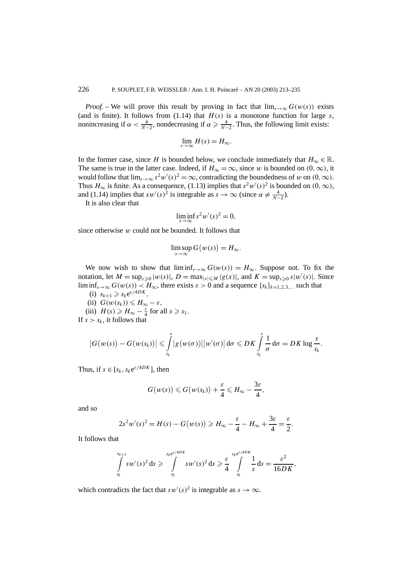*Proof.* – We will prove this result by proving in fact that  $\lim_{s\to\infty} G(w(s))$  exists (and is finite). It follows from  $(1.14)$  that  $H(s)$  is a monotone function for large *s*, nonincreasing if  $\alpha < \frac{4}{N-2}$ , nondecreasing if  $\alpha \ge \frac{4}{N-2}$ . Thus, the following limit exists:

$$
\lim_{s\to\infty}H(s)=H_{\infty}.
$$

In the former case, since *H* is bounded below, we conclude immediately that  $H_{\infty} \in \mathbb{R}$ . The same is true in the latter case. Indeed, if  $H_{\infty} = \infty$ , since *w* is bounded on  $(0, \infty)$ , it would follow that  $\lim_{s\to\infty} s^2w'(s)^2 = \infty$ , contradicting the boundedness of *w* on  $(0, \infty)$ . Thus  $H_{\infty}$  is finite. As a consequence, (1.13) implies that  $s^2w'(s)^2$  is bounded on  $(0, \infty)$ , and (1.14) implies that  $sw'(s)^2$  is integrable as  $s \to \infty$  (since  $\alpha \neq \frac{4}{N-2}$ ).

It is also clear that

$$
\liminf_{s \to \infty} s^2 w'(s)^2 = 0,
$$

since otherwise *w* could not be bounded. It follows that

$$
\limsup_{s \to \infty} G(w(s)) = H_{\infty}.
$$

We now wish to show that  $\liminf_{s\to\infty} G(w(s)) = H_\infty$ . Suppose not. To fix the notation, let  $M = \sup_{s \ge 0} |w(s)|$ ,  $D = \max_{|x| \le M} |g(x)|$ , and  $K = \sup_{s \ge 0} s|w'(s)|$ . Since lim inf<sub>s→∞</sub>  $G(w(s))$  <  $H_{\infty}$ , there exists  $\varepsilon > 0$  and a sequence  $\{s_k\}_{k=1,2,3,...}$  such that

(i)  $s_{k+1} \geqslant s_k e^{\varepsilon/4DK}$ .

(ii) 
$$
G(w(s_k)) \leq H_{\infty} - \varepsilon
$$
,

(iii)  $H(s) \ge H_{\infty} - \frac{\varepsilon}{4}$  for all  $s \ge s_1$ .

If  $s > s_k$ , it follows that

$$
\big|G(w(s))-G(w(s_k))\big|\leqslant \int\limits_{s_k}^s \big|g(w(\sigma))\big|\big|w'(\sigma)\big|\,d\sigma\leqslant DK\int\limits_{s_k}^s\frac{1}{\sigma}\,d\sigma=DK\log\frac{s}{s_k}.
$$

Thus, if  $s \in [s_k, s_k e^{\varepsilon/4DK}]$ , then

$$
G(w(s)) \leq G(w(s_k)) + \frac{\varepsilon}{4} \leq H_{\infty} - \frac{3\varepsilon}{4},
$$

and so

$$
2s2w'(s)2 = H(s) - G(w(s)) \ge H_{\infty} - \frac{\varepsilon}{4} - H_{\infty} + \frac{3\varepsilon}{4} = \frac{\varepsilon}{2}.
$$

It follows that

$$
\int\limits_{S_k}^{S_{k+1}} s w'(s)^2 ds \geqslant \int\limits_{S_k}^{S_k e^{\varepsilon/4DK}} s w'(s)^2 ds \geqslant \frac{\varepsilon}{4} \int\limits_{S_k}^{S_k e^{\varepsilon/4DK}} \frac{1}{s} ds = \frac{\varepsilon^2}{16DK},
$$

which contradicts the fact that  $sw'(s)^2$  is integrable as  $s \to \infty$ .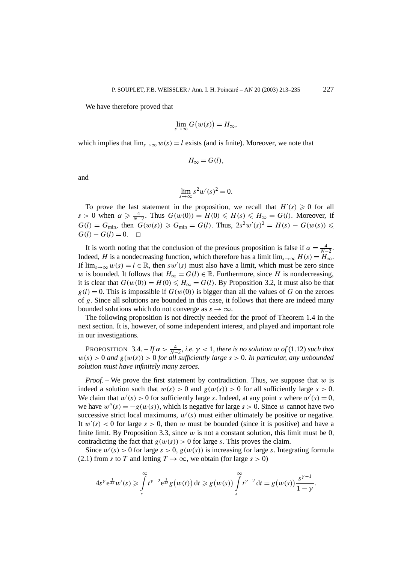We have therefore proved that

$$
\lim_{s \to \infty} G(w(s)) = H_{\infty},
$$

which implies that  $\lim_{s\to\infty} w(s) = l$  exists (and is finite). Moreover, we note that

$$
H_{\infty}=G(l),
$$

and

$$
\lim_{s \to \infty} s^2 w'(s)^2 = 0.
$$

To prove the last statement in the proposition, we recall that  $H'(s) \geq 0$  for all  $s > 0$  when  $\alpha \ge \frac{4}{N-2}$ . Thus  $G(w(0)) = H(0) \le H(s) \le H_{\infty} = G(l)$ . Moreover, if  $G(l) = G_{min}$ , then  $G(w(s)) \ge G_{min} = G(l)$ . Thus,  $2s^2w'(s)^2 = H(s) - G(w(s))$  ≤  $G(l) - G(l) = 0.$  □

It is worth noting that the conclusion of the previous proposition is false if  $\alpha = \frac{4}{N-2}$ . Indeed, *H* is a nondecreasing function, which therefore has a limit  $\lim_{s\to\infty} H(s) = H_\infty$ . If  $\lim_{s\to\infty} w(s) = l \in \mathbb{R}$ , then *sw'(s)* must also have a limit, which must be zero since *w* is bounded. It follows that  $H_{\infty} = G(l) \in \mathbb{R}$ . Furthermore, since *H* is nondecreasing, it is clear that  $G(w(0)) = H(0) \le H_{\infty} = G(l)$ . By Proposition 3.2, it must also be that  $g(l) = 0$ . This is impossible if  $G(w(0))$  is bigger than all the values of G on the zeroes of *g*. Since all solutions are bounded in this case, it follows that there are indeed many bounded solutions which do not converge as  $s \to \infty$ .

The following proposition is not directly needed for the proof of Theorem 1.4 in the next section. It is, however, of some independent interest, and played and important role in our investigations.

PROPOSITION 3.4.  $-F\alpha > \frac{4}{N-2}$ , *i.e.*  $\gamma < 1$ , *there is no solution w of* (1.12) *such that*  $w(s) > 0$  *and*  $g(w(s)) > 0$  *for all sufficiently large*  $s > 0$ *. In particular, any unbounded solution must have infinitely many zeroes.*

*Proof. –* We prove the first statement by contradiction. Thus, we suppose that *w* is indeed a solution such that  $w(s) > 0$  and  $g(w(s)) > 0$  for all sufficiently large  $s > 0$ . We claim that  $w'(s) > 0$  for sufficiently large *s*. Indeed, at any point *s* where  $w'(s) = 0$ , we have  $w''(s) = -g(w(s))$ , which is negative for large  $s > 0$ . Since w cannot have two successive strict local maximums,  $w'(s)$  must either ultimately be positive or negative. It  $w'(s) < 0$  for large  $s > 0$ , then w must be bounded (since it is positive) and have a finite limit. By Proposition 3.3, since  $w$  is not a constant solution, this limit must be 0, contradicting the fact that  $g(w(s)) > 0$  for large *s*. This proves the claim.

Since  $w'(s) > 0$  for large  $s > 0$ ,  $g(w(s))$  is increasing for large *s*. Integrating formula (2.1) from *s* to *T* and letting  $T \to \infty$ , we obtain (for large  $s > 0$ )

$$
4s^{\gamma} e^{\frac{1}{4s}} w'(s) \geq \int\limits_{s}^{\infty} t^{\gamma-2} e^{\frac{1}{4t}} g(w(t)) dt \geq g(w(s)) \int\limits_{s}^{\infty} t^{\gamma-2} dt = g(w(s)) \frac{s^{\gamma-1}}{1-\gamma}.
$$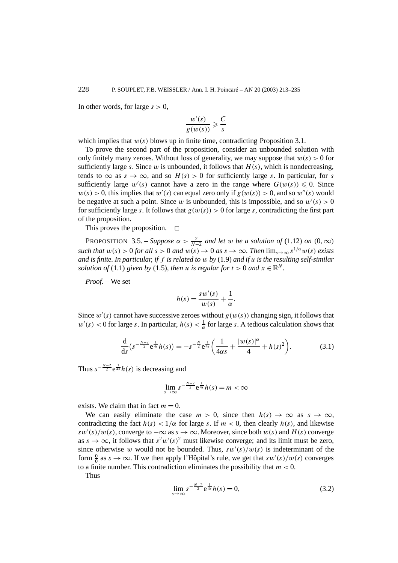In other words, for large  $s > 0$ ,

$$
\frac{w'(s)}{g(w(s))} \geqslant \frac{C}{s}
$$

which implies that  $w(s)$  blows up in finite time, contradicting Proposition 3.1.

To prove the second part of the proposition, consider an unbounded solution with only finitely many zeroes. Without loss of generality, we may suppose that  $w(s) > 0$  for sufficiently large *s*. Since *w* is unbounded, it follows that  $H(s)$ , which is nondecreasing, tends to  $\infty$  as  $s \to \infty$ , and so  $H(s) > 0$  for sufficiently large *s*. In particular, for *s* sufficiently large  $w'(s)$  cannot have a zero in the range where  $G(w(s)) \leq 0$ . Since  $w(s) > 0$ , this implies that  $w'(s)$  can equal zero only if  $g(w(s)) > 0$ , and so  $w''(s)$  would be negative at such a point. Since w is unbounded, this is impossible, and so  $w'(s) > 0$ for sufficiently large *s*. It follows that  $g(w(s)) > 0$  for large *s*, contradicting the first part of the proposition.

This proves the proposition.  $\Box$ 

PROPOSITION 3.5. – *Suppose*  $\alpha > \frac{2}{N-2}$  *and let w be a solution of* (1.12) *on* (0*,*  $\infty$ ) *such that*  $w(s) > 0$  *for all*  $s > 0$  *and*  $w(s) \to 0$  *as*  $s \to \infty$ *. Then*  $\lim_{s \to \infty} s^{1/\alpha} w(s)$  *exists and is finite. In particular, if f is related to w by* (1.9) *and if u is the resulting self-similar solution of* (1.1) *given by* (1.5)*, then <i>u is regular for*  $t > 0$  *and*  $x \in \mathbb{R}^N$ *.* 

*Proof. –* We set

$$
h(s) = \frac{s w'(s)}{w(s)} + \frac{1}{\alpha}.
$$

Since  $w'(s)$  cannot have successive zeroes without  $g(w(s))$  changing sign, it follows that  $w'(s) < 0$  for large *s*. In particular,  $h(s) < \frac{1}{\alpha}$  for large *s*. A tedious calculation shows that

$$
\frac{d}{ds}\left(s^{-\frac{N-2}{2}}e^{\frac{1}{4s}}h(s)\right) = -s^{-\frac{N}{2}}e^{\frac{1}{4s}}\left(\frac{1}{4\alpha s} + \frac{|w(s)|^{\alpha}}{4} + h(s)^2\right).
$$
(3.1)

Thus  $s^{-\frac{N-2}{2}}e^{\frac{1}{4s}}h(s)$  is decreasing and

$$
\lim_{s\to\infty} s^{-\frac{N-2}{2}}e^{\frac{1}{4s}}h(s)=m<\infty
$$

exists. We claim that in fact  $m = 0$ .

We can easily eliminate the case  $m > 0$ , since then  $h(s) \to \infty$  as  $s \to \infty$ , contradicting the fact  $h(s) < 1/\alpha$  for large *s*. If  $m < 0$ , then clearly  $h(s)$ , and likewise  $sw'(s)/w(s)$ , converge to  $-\infty$  as  $s \to \infty$ . Moreover, since both  $w(s)$  and  $H(s)$  converge as  $s \to \infty$ , it follows that  $s^2w'(s)^2$  must likewise converge; and its limit must be zero, since otherwise *w* would not be bounded. Thus,  $sw'(s)/w(s)$  is indeterminant of the form  $\frac{0}{0}$  as  $s \to \infty$ . If we then apply l'Hôpital's rule, we get that  $sw'(s)/w(s)$  converges to a finite number. This contradiction eliminates the possibility that *m <* 0.

Thus

$$
\lim_{s \to \infty} s^{-\frac{N-2}{2}} e^{\frac{1}{4s}} h(s) = 0,
$$
\n(3.2)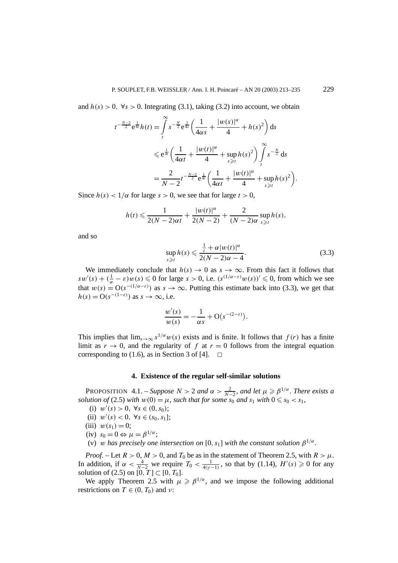and  $h(s) > 0$ ,  $\forall s > 0$ . Integrating (3.1), taking (3.2) into account, we obtain

$$
t^{-\frac{N-2}{2}}e^{\frac{1}{4t}}h(t) = \int_{t}^{\infty} s^{-\frac{N}{2}}e^{\frac{1}{4s}} \left(\frac{1}{4\alpha s} + \frac{|w(s)|^{\alpha}}{4} + h(s)^{2}\right) ds
$$
  

$$
\leq e^{\frac{1}{4t}} \left(\frac{1}{4\alpha t} + \frac{|w(t)|^{\alpha}}{4} + \sup_{s \geq t} h(s)^{2}\right) \int_{t}^{\infty} s^{-\frac{N}{2}} ds
$$
  

$$
= \frac{2}{N-2}t^{-\frac{N-2}{2}}e^{\frac{1}{4t}} \left(\frac{1}{4\alpha t} + \frac{|w(t)|^{\alpha}}{4} + \sup_{s \geq t} h(s)^{2}\right).
$$

Since  $h(s) < 1/\alpha$  for large  $s > 0$ , we see that for large  $t > 0$ ,

$$
h(t) \leqslant \frac{1}{2(N-2)\alpha t} + \frac{|w(t)|^{\alpha}}{2(N-2)} + \frac{2}{(N-2)\alpha} \sup_{s \geqslant t} h(s),
$$

and so

$$
\sup_{s \geq t} h(s) \leq \frac{\frac{1}{t} + \alpha |w(t)|^{\alpha}}{2(N - 2)\alpha - 4}.
$$
\n(3.3)

We immediately conclude that  $h(s) \to 0$  as  $s \to \infty$ . From this fact it follows that  $sw'(s) + (\frac{1}{\alpha} - \varepsilon)w(s) \leq 0$  for large  $s > 0$ , i.e.  $(s^{(1/\alpha - \varepsilon)}w(s))' \leq 0$ , from which we see that  $w(s) = O(s^{-(1/\alpha - \varepsilon)})$  as  $s \to \infty$ . Putting this estimate back into (3.3), we get that  $h(s) = O(s^{-(1-\varepsilon)})$  as  $s \to \infty$ , i.e.

$$
\frac{w'(s)}{w(s)} = -\frac{1}{\alpha s} + O(s^{-(2-\varepsilon)}).
$$

This implies that  $\lim_{s\to\infty} s^{1/\alpha}w(s)$  exists and is finite. It follows that  $f(r)$  has a finite limit as  $r \to 0$ , and the regularity of f at  $r = 0$  follows from the integral equation corresponding to (1.6), as in Section 3 of [4].  $\Box$ 

### **4. Existence of the regular self-similar solutions**

PROPOSITION 4.1. – *Suppose*  $N > 2$  *and*  $\alpha > \frac{2}{N-2}$ *, and let*  $\mu \ge \beta^{1/\alpha}$ *. There exists a solution of* (2.5) *with*  $w(0) = \mu$ *, such that for some*  $s_0$  *and*  $s_1$  *with*  $0 \le s_0 < s_1$ *,* 

(i)  $w'(s) > 0, \forall s \in (0, s_0);$ 

(ii)  $w'(s) < 0, \forall s \in (s_0, s_1];$ 

- (iii)  $w(s_1) = 0$ ;
- $(iv)$   $s_0 = 0 \Leftrightarrow \mu = \beta^{1/\alpha}$ ;
- (v) *w* has precisely one intersection on [0, s<sub>1</sub>] with the constant solution  $\beta^{1/\alpha}$ .

*Proof.* – Let  $R > 0$ ,  $M > 0$ , and  $T_0$  be as in the statement of Theorem 2.5, with  $R > \mu$ . In addition, if  $\alpha < \frac{4}{N-2}$  we require  $T_0 < \frac{1}{4(\gamma-1)}$ , so that by (1.14),  $H'(s) \geq 0$  for any solution of (2.5) on  $[0, T]$  ⊂  $[0, T_0]$ .

We apply Theorem 2.5 with  $\mu \geq \beta^{1/\alpha}$ , and we impose the following additional restrictions on  $T \in (0, T_0)$  and  $\nu$ :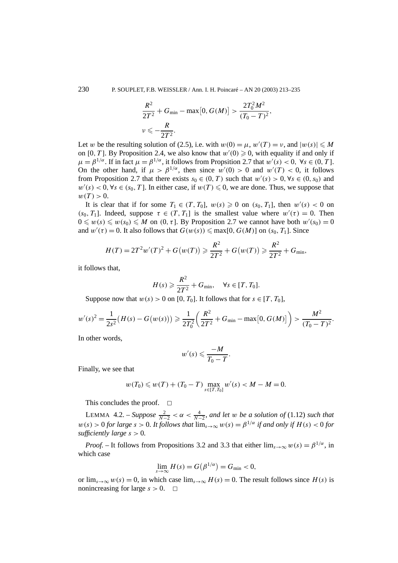$$
\frac{R^2}{2T^2} + G_{\min} - \max[0, G(M)] > \frac{2T_0^2 M^2}{(T_0 - T)^2},
$$
  

$$
\nu \leq -\frac{R}{2T^2}.
$$

Let *w* be the resulting solution of (2.5), i.e. with  $w(0) = \mu$ ,  $w'(T) = v$ , and  $|w(s)| \le M$ on [0, T]. By Proposition 2.4, we also know that  $w'(0) \geq 0$ , with equality if and only if  $\mu = \beta^{1/\alpha}$ . If in fact  $\mu = \beta^{1/\alpha}$ , it follows from Propsition 2.7 that  $w'(s) < 0$ ,  $\forall s \in (0, T]$ . On the other hand, if  $\mu > \beta^{1/\alpha}$ , then since  $w'(0) > 0$  and  $w'(T) < 0$ , it follows from Proposition 2.7 that there exists  $s_0 \in (0, T)$  such that  $w'(s) > 0, \forall s \in (0, s_0)$  and  $w'(s) < 0$ ,  $\forall s \in (s_0, T]$ . In either case, if  $w(T) \leq 0$ , we are done. Thus, we suppose that  $w(T) > 0.$ 

It is clear that if for some  $T_1 \in (T, T_0]$ ,  $w(s) \geq 0$  on  $(s_0, T_1]$ , then  $w'(s) < 0$  on  $(s_0, T_1]$ . Indeed, suppose  $\tau \in (T, T_1]$  is the smallest value where  $w'(\tau) = 0$ . Then  $0 \leq w(s) \leq w(s_0) \leq M$  on  $(0, \tau]$ . By Proposition 2.7 we cannot have both  $w'(s_0) = 0$ and  $w'(\tau) = 0$ . It also follows that  $G(w(s)) \leq \max[0, G(M)]$  on  $(s_0, T_1]$ . Since

$$
H(T) = 2T^2 w'(T)^2 + G(w(T)) \ge \frac{R^2}{2T^2} + G(w(T)) \ge \frac{R^2}{2T^2} + G_{\min},
$$

it follows that,

$$
H(s) \geqslant \frac{R^2}{2T^2} + G_{\min}, \quad \forall s \in [T, T_0].
$$

Suppose now that  $w(s) > 0$  on [0,  $T_0$ ]. It follows that for  $s \in [T, T_0]$ ,

$$
w'(s)^{2} = \frac{1}{2s^{2}}(H(s) - G(w(s))) \geq \frac{1}{2T_{0}^{2}}\left(\frac{R^{2}}{2T^{2}} + G_{\min} - \max[0, G(M)]\right) > \frac{M^{2}}{(T_{0} - T)^{2}}.
$$

In other words,

$$
w'(s) \leqslant \frac{-M}{T_0-T}.
$$

Finally, we see that

$$
w(T_0) \leq w(T) + (T_0 - T) \max_{s \in [T, T_0]} w'(s) < M - M = 0.
$$

This concludes the proof.  $\Box$ 

LEMMA 4.2. – *Suppose*  $\frac{2}{N-2} < \alpha < \frac{4}{N-2}$ , and let *w* be a solution of (1.12) such that  $w(s) > 0$  *for large*  $s > 0$ *. It follows that*  $\lim_{s \to \infty} w(s) = \beta^{1/\alpha}$  *if and only if*  $H(s) < 0$  *for sufficiently large s >* 0*.*

*Proof.* – It follows from Propositions 3.2 and 3.3 that either  $\lim_{s\to\infty} w(s) = \beta^{1/\alpha}$ , in which case

$$
\lim_{s \to \infty} H(s) = G(\beta^{1/\alpha}) = G_{\min} < 0,
$$

or  $\lim_{s\to\infty} w(s) = 0$ , in which case  $\lim_{s\to\infty} H(s) = 0$ . The result follows since  $H(s)$  is nonincreasing for large  $s > 0$ .  $\Box$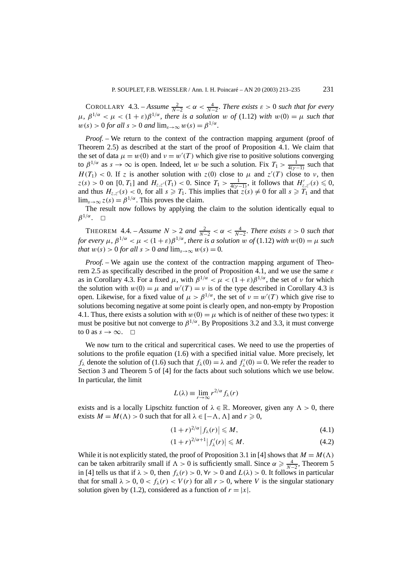COROLLARY 4.3. – *Assume*  $\frac{2}{N-2} < \alpha < \frac{4}{N-2}$ . There exists  $\varepsilon > 0$  such that for every  $\mu$ ,  $\beta^{1/\alpha} < \mu < (1 + \varepsilon)\beta^{1/\alpha}$ , there is a solution w of (1.12) with  $w(0) = \mu$  such that  $w(s) > 0$  *for all*  $s > 0$  *and*  $\lim_{s \to \infty} w(s) = \beta^{1/\alpha}$ *.* 

*Proof.* – We return to the context of the contraction mapping argument (proof of Theorem 2.5) as described at the start of the proof of Proposition 4.1. We claim that the set of data  $\mu = w(0)$  and  $\nu = w'(T)$  which give rise to positive solutions converging to  $\beta^{1/\alpha}$  as  $s \to \infty$  is open. Indeed, let *w* be such a solution. Fix  $T_1 > \frac{1}{4(\gamma - 1)}$  such that  $H(T_1) < 0$ . If *z* is another solution with  $z(0)$  close to  $\mu$  and  $z'(T)$  close to *v*, then  $z(s) > 0$  on  $[0, T_1]$  and  $H_{z,z'}(T_1) < 0$ . Since  $T_1 > \frac{1}{4(\gamma - 1)}$ , it follows that  $H'_{z,z'}(s) \leq 0$ , and thus  $H_{z,z'}(s) < 0$ , for all  $s \ge T_1$ . This implies that  $z(s) \ne 0$  for all  $s \ge T_1$  and that  $\lim_{s\to\infty} z(s) = \beta^{1/\alpha}$ . This proves the claim.

The result now follows by applying the claim to the solution identically equal to  $\beta^{1/\alpha}$ .  $\Box$ 

THEOREM 4.4. – *Assume*  $N > 2$  *and*  $\frac{2}{N-2} < \alpha < \frac{4}{N-2}$ *. There exists*  $\varepsilon > 0$  *such that for every*  $\mu$ ,  $\beta^{1/\alpha} < \mu < (1+\varepsilon)\beta^{1/\alpha}$ , there is a solution w of (1.12) with  $w(0) = \mu$  such *that*  $w(s) > 0$  *for all*  $s > 0$  *and*  $\lim_{s \to \infty} w(s) = 0$ *.* 

*Proof.* – We again use the context of the contraction mapping argument of Theorem 2.5 as specifically described in the proof of Proposition 4.1, and we use the same *ε* as in Corollary 4.3. For a fixed  $\mu$ , with  $\beta^{1/\alpha} < \mu < (1+\varepsilon)\beta^{1/\alpha}$ , the set of *ν* for which the solution with  $w(0) = \mu$  and  $w'(T) = v$  is of the type described in Corollary 4.3 is open. Likewise, for a fixed value of  $\mu > \beta^{1/\alpha}$ , the set of  $\nu = w'(T)$  which give rise to solutions becoming negative at some point is clearly open, and non-empty by Propostion 4.1. Thus, there exists a solution with  $w(0) = \mu$  which is of neither of these two types: it must be positive but not converge to  $\beta^{1/\alpha}$ . By Propositions 3.2 and 3.3, it must converge to 0 as  $s \to \infty$ .  $\Box$ 

We now turn to the critical and supercritical cases. We need to use the properties of solutions to the profile equation (1.6) with a specified initial value. More precisely, let *f*<sub> $\lambda$ </sub> denote the solution of (1.6) such that  $f_{\lambda}(0) = \lambda$  and  $f'_{\lambda}(0) = 0$ . We refer the reader to Section 3 and Theorem 5 of [4] for the facts about such solutions which we use below. In particular, the limit

$$
L(\lambda) \equiv \lim_{r \to \infty} r^{2/\alpha} f_{\lambda}(r)
$$

exists and is a locally Lipschitz function of  $\lambda \in \mathbb{R}$ . Moreover, given any  $\Lambda > 0$ , there exists  $M = M(\Lambda) > 0$  such that for all  $\lambda \in [-\Lambda, \Lambda]$  and  $r \ge 0$ ,

$$
(1+r)^{2/\alpha}|f_{\lambda}(r)| \leqslant M,\tag{4.1}
$$

$$
(1+r)^{2/\alpha+1}|f'_{\lambda}(r)| \leqslant M.
$$
\n(4.2)

While it is not explicitly stated, the proof of Proposition 3.1 in [4] shows that  $M = M(\Lambda)$ can be taken arbitrarily small if  $\Lambda > 0$  is sufficiently small. Since  $\alpha \ge \frac{4}{N-2}$ , Theorem 5 in [4] tells us that if  $\lambda > 0$ , then  $f_{\lambda}(r) > 0$ ,  $\forall r > 0$  and  $L(\lambda) > 0$ . It follows in particular that for small  $\lambda > 0$ ,  $0 < f_{\lambda}(r) < V(r)$  for all  $r > 0$ , where V is the singular stationary solution given by (1.2), considered as a function of  $r = |x|$ .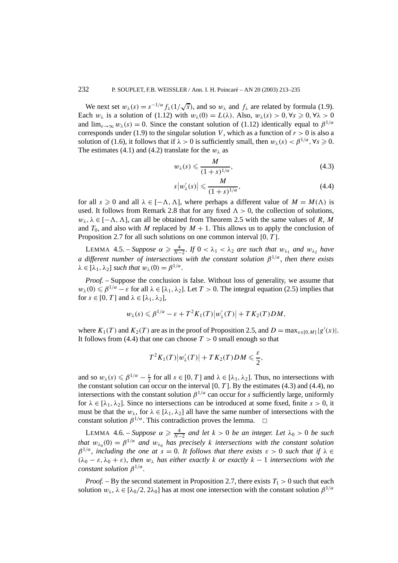We next set  $w_\lambda(s) = s^{-1/\alpha} f_\lambda(1/\sqrt{s})$ , and so  $w_\lambda$  and  $f_\lambda$  are related by formula (1.9). Each  $w_{\lambda}$  is a solution of (1.12) with  $w_{\lambda}(0) = L(\lambda)$ . Also,  $w_{\lambda}(s) > 0$ ,  $\forall s \ge 0$ ,  $\forall \lambda > 0$ and  $\lim_{s\to\infty} w_\lambda(s) = 0$ . Since the constant solution of (1.12) identically equal to  $\beta^{1/\alpha}$ corresponds under (1.9) to the singular solution *V*, which as a function of  $r > 0$  is also a solution of (1.6), it follows that if  $\lambda > 0$  is sufficiently small, then  $w_\lambda(s) < \beta^{1/\alpha}, \forall s \ge 0$ . The estimates (4.1) and (4.2) translate for the  $w_\lambda$  as

$$
w_{\lambda}(s) \leqslant \frac{M}{(1+s)^{1/\alpha}},\tag{4.3}
$$

$$
s|w'_{\lambda}(s)| \leqslant \frac{M}{(1+s)^{1/\alpha}},\tag{4.4}
$$

for all  $s \ge 0$  and all  $\lambda \in [-\Lambda, \Lambda]$ , where perhaps a different value of  $M = M(\Lambda)$  is used. It follows from Remark 2.8 that for any fixed  $\Lambda > 0$ , the collection of solutions,  $w_{\lambda}$ ,  $\lambda \in [-\Lambda, \Lambda]$ , can all be obtained from Theorem 2.5 with the same values of *R*, *M* and  $T_0$ , and also with *M* replaced by  $M + 1$ . This allows us to apply the conclusion of Proposition 2.7 for all such solutions on one common interval [0*, T* ].

LEMMA 4.5. – *Suppose*  $\alpha \ge \frac{4}{N-2}$ . If  $0 < \lambda_1 < \lambda_2$  are such that  $w_{\lambda_1}$  and  $w_{\lambda_2}$  have *a different number of intersections with the constant solution β*<sup>1</sup>*/α, then there exists*  $\lambda \in [\lambda_1, \lambda_2]$  *such that*  $w_\lambda(0) = \beta^{1/\alpha}$ .

*Proof.* – Suppose the conclusion is false. Without loss of generality, we assume that  $w_{\lambda}(0) \leq \beta^{1/\alpha} - \varepsilon$  for all  $\lambda \in [\lambda_1, \lambda_2]$ . Let  $T > 0$ . The integral equation (2.5) implies that for  $s \in [0, T]$  and  $\lambda \in [\lambda_1, \lambda_2]$ ,

$$
w_{\lambda}(s) \leq \beta^{1/\alpha} - \varepsilon + T^2 K_1(T) |w'_{\lambda}(T)| + T K_2(T) DM,
$$

where  $K_1(T)$  and  $K_2(T)$  are as in the proof of Proposition 2.5, and  $D = \max_{x \in [0,M]} |g'(x)|$ . It follows from (4.4) that one can choose  $T > 0$  small enough so that

$$
T^2K_1(T)|w'_{\lambda}(T)|+TK_2(T)DM\leqslant \frac{\varepsilon}{2},
$$

and so  $w_{\lambda}(s) \leq \beta^{1/\alpha} - \frac{\varepsilon}{2}$  for all  $s \in [0, T]$  and  $\lambda \in [\lambda_1, \lambda_2]$ . Thus, no intersections with the constant solution can occur on the interval  $[0, T]$ . By the estimates (4.3) and (4.4), no intersections with the constant solution  $\beta^{1/\alpha}$  can occur for *s* sufficiently large, uniformly for  $\lambda \in [\lambda_1, \lambda_2]$ . Since no intersections can be introduced at some fixed, finite  $s > 0$ , it must be that the  $w_{\lambda}$ , for  $\lambda \in [\lambda_1, \lambda_2]$  all have the same number of intersections with the constant solution  $\beta^{1/\alpha}$ . This contradiction proves the lemma.  $\Box$ 

LEMMA 4.6. – *Suppose*  $\alpha \ge \frac{4}{N-2}$  *and let*  $k > 0$  *be an integer. Let*  $\lambda_0 > 0$  *be such that*  $w_{\lambda_0}(0) = \beta^{1/\alpha}$  *and*  $w_{\lambda_0}$  *has precisely k intersections* with the constant solution  $\beta^{1/\alpha}$ *, including the one at*  $s = 0$ *. It follows that there exists*  $\varepsilon > 0$  *such that if*  $\lambda \in$  $(\lambda_0 - \varepsilon, \lambda_0 + \varepsilon)$ *, then*  $w_\lambda$  *has either exactly k or exactly*  $k - 1$  *intersections with the constant solution β*<sup>1</sup>*/α.*

*Proof.* – By the second statement in Proposition 2.7, there exists  $T_1 > 0$  such that each solution  $w_\lambda$ ,  $\lambda \in [\lambda_0/2, 2\lambda_0]$  has at most one intersection with the constant solution  $\beta^{1/\alpha}$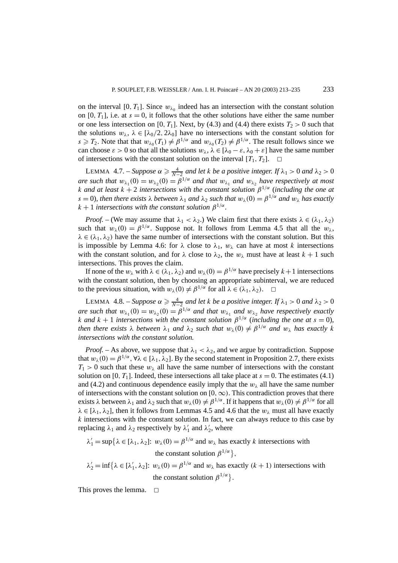on the interval [0,  $T_1$ ]. Since  $w_{\lambda_0}$  indeed has an intersection with the constant solution on [0,  $T_1$ ], i.e. at  $s = 0$ , it follows that the other solutions have either the same number or one less intersection on [0,  $T_1$ ]. Next, by (4.3) and (4.4) there exists  $T_2 > 0$  such that the solutions  $w_{\lambda}$ ,  $\lambda \in [\lambda_0/2, 2\lambda_0]$  have no intersections with the constant solution for  $s \ge T_2$ . Note that that  $w_{\lambda_0}(T_1) \neq \beta^{1/\alpha}$  and  $w_{\lambda_0}(T_2) \neq \beta^{1/\alpha}$ . The result follows since we can choose  $\varepsilon > 0$  so that all the solutions  $w_\lambda$ ,  $\lambda \in [\lambda_0 - \varepsilon, \lambda_0 + \varepsilon]$  have the same number of intersections with the constant solution on the interval  $[T_1, T_2]$ .  $\Box$ 

LEMMA 4.7. – *Suppose*  $\alpha \ge \frac{4}{N-2}$  *and let k be a positive integer. If*  $\lambda_1 > 0$  *and*  $\lambda_2 > 0$ *are such that*  $w_{\lambda_1}(0) = w_{\lambda_2}(0) = \beta^{1/\alpha}$  *and that*  $w_{\lambda_1}$  *and*  $w_{\lambda_2}$  *have respectively at most k* and at least  $k + 2$  intersections with the constant solution  $\beta^{1/\alpha}$  (including the one at  $s = 0$ *), then there exists*  $\lambda$  *between*  $\lambda_1$  *and*  $\lambda_2$  *such that*  $w_\lambda(0) = \beta^{1/\alpha}$  *and*  $w_\lambda$  *has exactly*  $k + 1$  *intersections with the constant solution*  $\beta^{1/\alpha}$ *.* 

*Proof.* – (We may assume that  $\lambda_1 < \lambda_2$ .) We claim first that there exists  $\lambda \in (\lambda_1, \lambda_2)$ such that  $w_\lambda(0) = \beta^{1/\alpha}$ . Suppose not. It follows from Lemma 4.5 that all the  $w_\lambda$ ,  $\lambda \in (\lambda_1, \lambda_2)$  have the same number of intersections with the constant solution. But this is impossible by Lemma 4.6: for  $\lambda$  close to  $\lambda_1$ ,  $w_\lambda$  can have at most *k* intersections with the constant solution, and for  $\lambda$  close to  $\lambda_2$ , the  $w_\lambda$  must have at least  $k + 1$  such intersections. This proves the claim.

If none of the  $w_\lambda$  with  $\lambda \in (\lambda_1, \lambda_2)$  and  $w_\lambda(0) = \beta^{1/\alpha}$  have precisely  $k+1$  intersections with the constant solution, then by choosing an appropriate subinterval, we are reduced to the previous situation, with  $w_\lambda(0) \neq \beta^{1/\alpha}$  for all  $\lambda \in (\lambda_1, \lambda_2)$ .  $\Box$ 

LEMMA 4.8. – *Suppose*  $\alpha \ge \frac{4}{N-2}$  *and let k be a positive integer. If*  $\lambda_1 > 0$  *and*  $\lambda_2 > 0$ *are such that*  $w_{\lambda_1}(0) = w_{\lambda_2}(0) = \beta^{1/\alpha}$  *and that*  $w_{\lambda_1}$  *and*  $w_{\lambda_2}$  *have respectively exactly k* and  $k + 1$  intersections with the constant solution  $\beta^{1/\alpha}$  (including the one at  $s = 0$ ), *then there exists*  $\lambda$  *between*  $\lambda_1$  *and*  $\lambda_2$  *such that*  $w_{\lambda}(0) \neq \beta^{1/\alpha}$  *and*  $w_{\lambda}$  *has exactly k intersections with the constant solution.*

*Proof.* – As above, we suppose that  $\lambda_1 < \lambda_2$ , and we argue by contradiction. Suppose that  $w_\lambda(0) = \beta^{1/\alpha}$ ,  $\forall \lambda \in [\lambda_1, \lambda_2]$ . By the second statement in Proposition 2.7, there exists  $T_1 > 0$  such that these  $w_\lambda$  all have the same number of intersections with the constant solution on [0,  $T_1$ ]. Indeed, these intersections all take place at  $s = 0$ . The estimates (4.1) and (4.2) and continuous dependence easily imply that the  $w<sub>\lambda</sub>$  all have the same number of intersections with the constant solution on  $[0, \infty)$ . This contradiction proves that there exists  $\lambda$  between  $\lambda_1$  and  $\lambda_2$  such that  $w_\lambda(0) \neq \beta^{1/\alpha}$ . If it happens that  $w_\lambda(0) \neq \beta^{1/\alpha}$  for all  $\lambda \in [\lambda_1, \lambda_2]$ , then it follows from Lemmas 4.5 and 4.6 that the  $w_\lambda$  must all have exactly *k* intersections with the constant solution. In fact, we can always reduce to this case by replacing  $\lambda_1$  and  $\lambda_2$  respectively by  $\lambda'_1$  and  $\lambda'_2$ , where

$$
\lambda'_1 = \sup \{ \lambda \in [\lambda_1, \lambda_2] : w_\lambda(0) = \beta^{1/\alpha} \text{ and } w_\lambda \text{ has exactly } k \text{ intersections with}
$$
  
the constant solution  $\beta^{1/\alpha} \},$ 

 $\lambda'_2 = \inf \{ \lambda \in [\lambda'_1, \lambda_2] : w_\lambda(0) = \beta^{1/\alpha} \text{ and } w_\lambda \text{ has exactly } (k+1) \text{ intersections with } \lambda'_1 = \min \{ \lambda \in [\lambda'_1, \lambda'_2] : w_\lambda(0) = \beta^{1/\alpha} \text{ and } w_\lambda \text{ has exactly } (k+1) \text{ intersections with } \lambda'_1 = \lambda'_1 \}$ the constant solution  $\beta^{1/\alpha}$ .

This proves the lemma.  $\Box$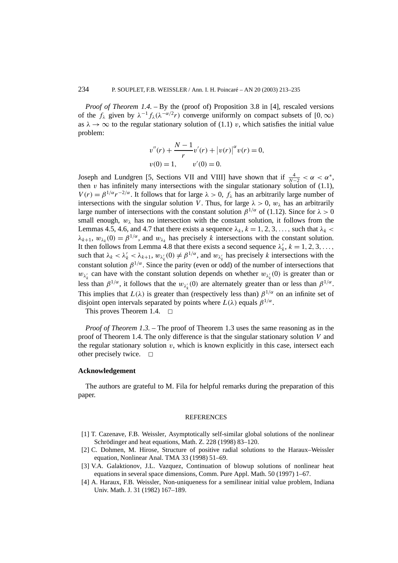*Proof of Theorem 1.4.* – By the (proof of) Proposition 3.8 in [4], rescaled versions of the  $f_{\lambda}$  given by  $\lambda^{-1} f_{\lambda}(\lambda^{-\alpha/2}r)$  converge uniformly on compact subsets of  $[0, \infty)$ as  $\lambda \to \infty$  to the regular stationary solution of (1.1) *v*, which satisfies the initial value problem:

$$
v''(r) + \frac{N-1}{r}v'(r) + |v(r)|^{\alpha}v(r) = 0,
$$
  

$$
v(0) = 1, \qquad v'(0) = 0.
$$

Joseph and Lundgren [5, Sections VII and VIII] have shown that if  $\frac{4}{N-2} < \alpha < \alpha^*$ , then  $\nu$  has infinitely many intersections with the singular stationary solution of (1.1),  $V(r) = \beta^{1/\alpha} r^{-2/\alpha}$ . It follows that for large  $\lambda > 0$ ,  $f_{\lambda}$  has an arbitrarily large number of intersections with the singular solution *V*. Thus, for large  $\lambda > 0$ ,  $w_{\lambda}$  has an arbitrarily large number of intersections with the constant solution  $\beta^{1/\alpha}$  of (1.12). Since for  $\lambda > 0$ small enough,  $w_{\lambda}$  has no intersection with the constant solution, it follows from the Lemmas 4.5, 4.6, and 4.7 that there exists a sequence  $\lambda_k$ ,  $k = 1, 2, 3, \ldots$ , such that  $\lambda_k$  $\lambda_{k+1}$ ,  $w_{\lambda_k}(0) = \beta^{1/\alpha}$ , and  $w_{\lambda_k}$  has precisely *k* intersections with the constant solution. It then follows from Lemma 4.8 that there exists a second sequence  $\lambda'_k$ ,  $k = 1, 2, 3, \ldots$ , such that  $\lambda_k < \lambda'_k < \lambda_{k+1}$ ,  $w_{\lambda'_k}(0) \neq \beta^{1/\alpha}$ , and  $w_{\lambda'_k}$  has precisely *k* intersections with the constant solution  $\beta^{1/\alpha}$ . Since the parity (even or odd) of the number of intersections that  $w_{\lambda'_k}$  can have with the constant solution depends on whether  $w_{\lambda'_k}(0)$  is greater than or less than  $\beta^{1/\alpha}$ , it follows that the  $w_{\lambda'_k}(0)$  are alternately greater than or less than  $\beta^{1/\alpha}$ . This implies that  $L(\lambda)$  is greater than (respectively less than)  $\beta^{1/\alpha}$  on an infinite set of disjoint open intervals separated by points where  $L(\lambda)$  equals  $\beta^{1/\alpha}$ .

This proves Theorem 1.4.  $\Box$ 

*Proof of Theorem 1.3.* – The proof of Theorem 1.3 uses the same reasoning as in the proof of Theorem 1.4. The only difference is that the singular stationary solution *V* and the regular stationary solution  $v$ , which is known explicitly in this case, intersect each other precisely twice.  $\Box$ 

## **Acknowledgement**

The authors are grateful to M. Fila for helpful remarks during the preparation of this paper.

#### REFERENCES

- [1] T. Cazenave, F.B. Weissler, Asymptotically self-similar global solutions of the nonlinear Schrödinger and heat equations, Math. Z. 228 (1998) 83–120.
- [2] C. Dohmen, M. Hirose, Structure of positive radial solutions to the Haraux–Weissler equation, Nonlinear Anal. TMA 33 (1998) 51–69.
- [3] V.A. Galaktionov, J.L. Vazquez, Continuation of blowup solutions of nonlinear heat equations in several space dimensions, Comm. Pure Appl. Math. 50 (1997) 1–67.
- [4] A. Haraux, F.B. Weissler, Non-uniqueness for a semilinear initial value problem, Indiana Univ. Math. J. 31 (1982) 167–189.